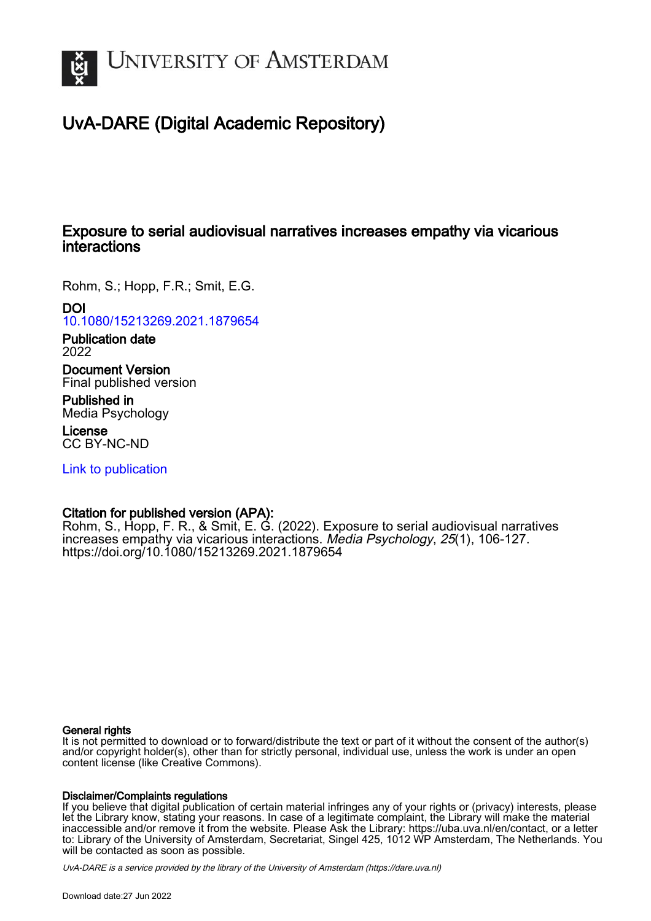

# UvA-DARE (Digital Academic Repository)

## Exposure to serial audiovisual narratives increases empathy via vicarious interactions

Rohm, S.; Hopp, F.R.; Smit, E.G.

## DOI

[10.1080/15213269.2021.1879654](https://doi.org/10.1080/15213269.2021.1879654)

Publication date 2022

Document Version Final published version

Published in Media Psychology

License CC BY-NC-ND

[Link to publication](https://dare.uva.nl/personal/pure/en/publications/exposure-to-serial-audiovisual-narratives-increases-empathy-via-vicarious-interactions(1c83cbdd-f0ea-4be8-a4b8-8e1955e81740).html)

## Citation for published version (APA):

Rohm, S., Hopp, F. R., & Smit, E. G. (2022). Exposure to serial audiovisual narratives increases empathy via vicarious interactions. Media Psychology, 25(1), 106-127. <https://doi.org/10.1080/15213269.2021.1879654>

#### General rights

It is not permitted to download or to forward/distribute the text or part of it without the consent of the author(s) and/or copyright holder(s), other than for strictly personal, individual use, unless the work is under an open content license (like Creative Commons).

### Disclaimer/Complaints regulations

If you believe that digital publication of certain material infringes any of your rights or (privacy) interests, please let the Library know, stating your reasons. In case of a legitimate complaint, the Library will make the material inaccessible and/or remove it from the website. Please Ask the Library: https://uba.uva.nl/en/contact, or a letter to: Library of the University of Amsterdam, Secretariat, Singel 425, 1012 WP Amsterdam, The Netherlands. You will be contacted as soon as possible.

UvA-DARE is a service provided by the library of the University of Amsterdam (http*s*://dare.uva.nl)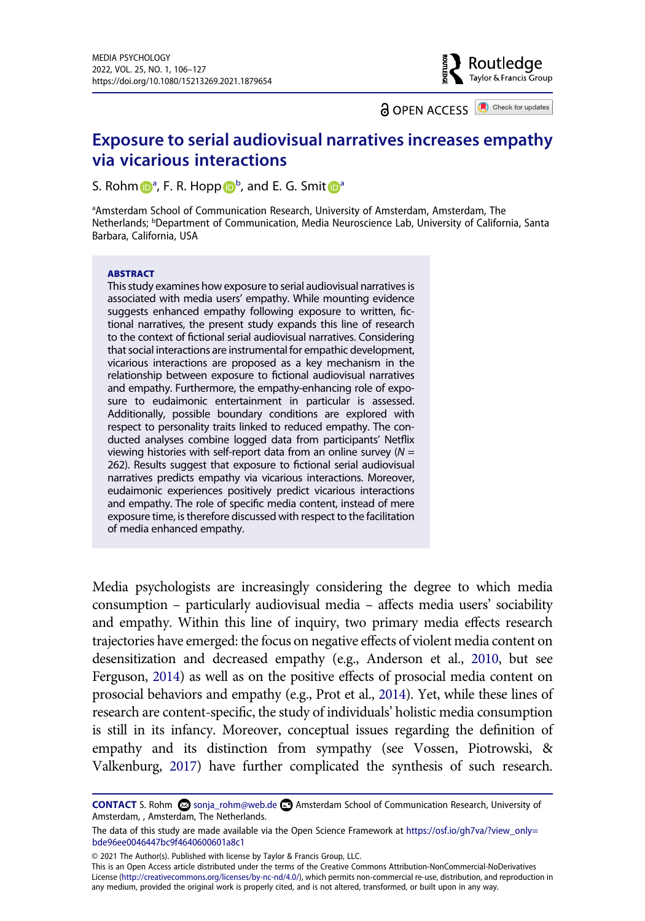**a** OPEN ACCESS **a** Check for updates

Routledge Taylor & Francis Group

## **Exposure to serial audiovisual narratives increases empathy via vicarious interactions**

S. Roh[m](http://orcid.org/0000-0003-0720-8982)  $\bigcirc$  $\bigcirc$  $\bigcirc$ <sup>[a](#page-1-0)</su[p](http://orcid.org/0000-0002-0866-064X)>, F. R. Hopp  $\bigcirc$ <sup>b</sup>, and E. G. Smit  $\bigcirc$ <sup>a</sup>

<span id="page-1-1"></span><span id="page-1-0"></span><sup>a</sup>Amsterdam School of Communication Research, University of Amsterdam, Amsterdam, The Netherlands; <sup>b</sup>Department of Communication, Media Neuroscience Lab, University of California, Santa Barbara, California, USA

#### **ABSTRACT**

This study examines how exposure to serial audiovisual narratives is associated with media users' empathy. While mounting evidence suggests enhanced empathy following exposure to written, fictional narratives, the present study expands this line of research to the context of fictional serial audiovisual narratives. Considering that social interactions are instrumental for empathic development, vicarious interactions are proposed as a key mechanism in the relationship between exposure to fictional audiovisual narratives and empathy. Furthermore, the empathy-enhancing role of exposure to eudaimonic entertainment in particular is assessed. Additionally, possible boundary conditions are explored with respect to personality traits linked to reduced empathy. The conducted analyses combine logged data from participants' Netflix viewing histories with self-report data from an online survey (*N* = 262). Results suggest that exposure to fictional serial audiovisual narratives predicts empathy via vicarious interactions. Moreover, eudaimonic experiences positively predict vicarious interactions and empathy. The role of specific media content, instead of mere exposure time, is therefore discussed with respect to the facilitation of media enhanced empathy.

<span id="page-1-4"></span><span id="page-1-3"></span><span id="page-1-2"></span>Media psychologists are increasingly considering the degree to which media consumption – particularly audiovisual media – affects media users' sociability and empathy. Within this line of inquiry, two primary media effects research trajectories have emerged: the focus on negative effects of violent media content on desensitization and decreased empathy (e.g., Anderson et al., [2010](#page-19-0), but see Ferguson, [2014](#page-20-0)) as well as on the positive effects of prosocial media content on prosocial behaviors and empathy (e.g., Prot et al., [2014\)](#page-21-0). Yet, while these lines of research are content-specific, the study of individuals' holistic media consumption is still in its infancy. Moreover, conceptual issues regarding the definition of empathy and its distinction from sympathy (see Vossen, Piotrowski, & Valkenburg, [2017\)](#page-22-0) have further complicated the synthesis of such research.

© 2021 The Author(s). Published with license by Taylor & Francis Group, LLC.

This is an Open Access article distributed under the terms of the Creative Commons Attribution-NonCommercial-NoDerivatives License (http://creativecommons.org/licenses/by-nc-nd/4.0/), which permits non-commercial re-use, distribution, and reproduction in any medium, provided the original work is properly cited, and is not altered, transformed, or built upon in any way.

<span id="page-1-5"></span>**CONTACT** S. Rohm **S** sonja\_rohm@web.de **B** Amsterdam School of Communication Research, University of Amsterdam, , Amsterdam, The Netherlands.

The data of this study are made available via the Open Science Framework at https://osf.io/gh7va/?view\_only= [bde96ee0046447bc9f4640600601a8c1](https://osf.io/gh7va/?view_only=bde96ee0046447bc9f4640600601a8c1)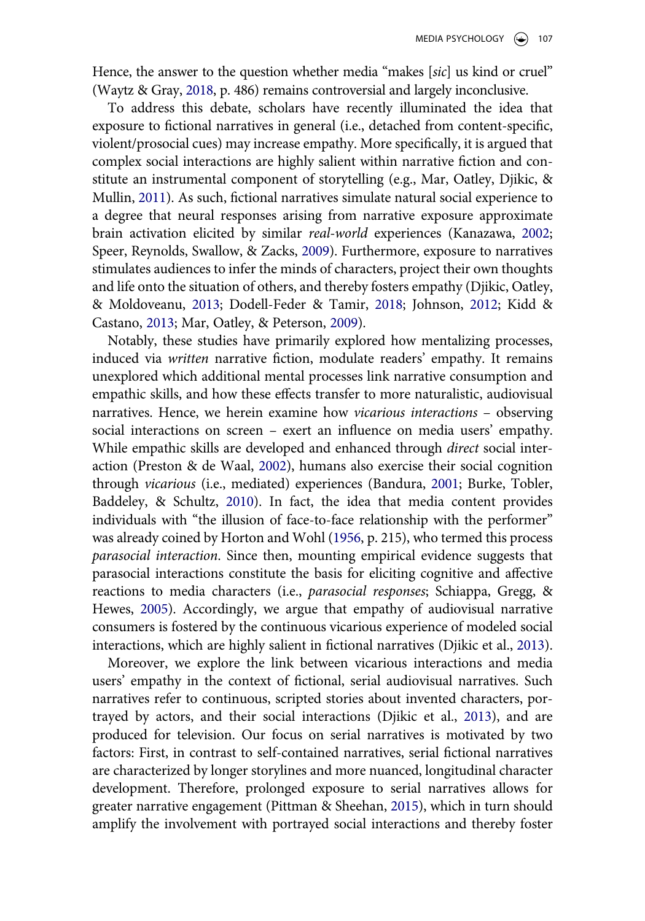<span id="page-2-12"></span>Hence, the answer to the question whether media "makes [*sic*] us kind or cruel" (Waytz & Gray, [2018](#page-22-1), p. 486) remains controversial and largely inconclusive.

<span id="page-2-7"></span>To address this debate, scholars have recently illuminated the idea that exposure to fictional narratives in general (i.e., detached from content-specific, violent/prosocial cues) may increase empathy. More specifically, it is argued that complex social interactions are highly salient within narrative fiction and constitute an instrumental component of storytelling (e.g., Mar, Oatley, Djikic, & Mullin, [2011\)](#page-21-1). As such, fictional narratives simulate natural social experience to a degree that neural responses arising from narrative exposure approximate brain activation elicited by similar *real-world* experiences (Kanazawa, [2002](#page-20-1); Speer, Reynolds, Swallow, & Zacks, [2009](#page-22-2)). Furthermore, exposure to narratives stimulates audiences to infer the minds of characters, project their own thoughts and life onto the situation of others, and thereby fosters empathy (Djikic, Oatley, & Moldoveanu, [2013;](#page-20-2) Dodell-Feder & Tamir, [2018;](#page-20-3) Johnson, [2012;](#page-20-4) Kidd & Castano, [2013](#page-20-5); Mar, Oatley, & Peterson, [2009\)](#page-21-2).

<span id="page-2-11"></span><span id="page-2-9"></span><span id="page-2-6"></span><span id="page-2-5"></span><span id="page-2-3"></span><span id="page-2-1"></span><span id="page-2-0"></span>Notably, these studies have primarily explored how mentalizing processes, induced via *written* narrative fiction, modulate readers' empathy. It remains unexplored which additional mental processes link narrative consumption and empathic skills, and how these effects transfer to more naturalistic, audiovisual narratives. Hence, we herein examine how *vicarious interactions* – observing social interactions on screen – exert an influence on media users' empathy. While empathic skills are developed and enhanced through *direct* social interaction (Preston & de Waal, [2002\)](#page-21-3), humans also exercise their social cognition through *vicarious* (i.e., mediated) experiences (Bandura, [2001;](#page-19-1) Burke, Tobler, Baddeley, & Schultz, [2010](#page-19-2)). In fact, the idea that media content provides individuals with "the illusion of face-to-face relationship with the performer" was already coined by Horton and Wohl [\(1956,](#page-20-6) p. 215), who termed this process *parasocial interaction*. Since then, mounting empirical evidence suggests that parasocial interactions constitute the basis for eliciting cognitive and affective reactions to media characters (i.e., *parasocial responses*; Schiappa, Gregg, & Hewes, [2005](#page-22-3)). Accordingly, we argue that empathy of audiovisual narrative consumers is fostered by the continuous vicarious experience of modeled social interactions, which are highly salient in fictional narratives (Djikic et al., [2013\)](#page-20-2).

<span id="page-2-10"></span><span id="page-2-8"></span><span id="page-2-4"></span><span id="page-2-2"></span>Moreover, we explore the link between vicarious interactions and media users' empathy in the context of fictional, serial audiovisual narratives. Such narratives refer to continuous, scripted stories about invented characters, portrayed by actors, and their social interactions (Djikic et al., [2013](#page-20-2)), and are produced for television. Our focus on serial narratives is motivated by two factors: First, in contrast to self-contained narratives, serial fictional narratives are characterized by longer storylines and more nuanced, longitudinal character development. Therefore, prolonged exposure to serial narratives allows for greater narrative engagement (Pittman & Sheehan, [2015\)](#page-21-4), which in turn should amplify the involvement with portrayed social interactions and thereby foster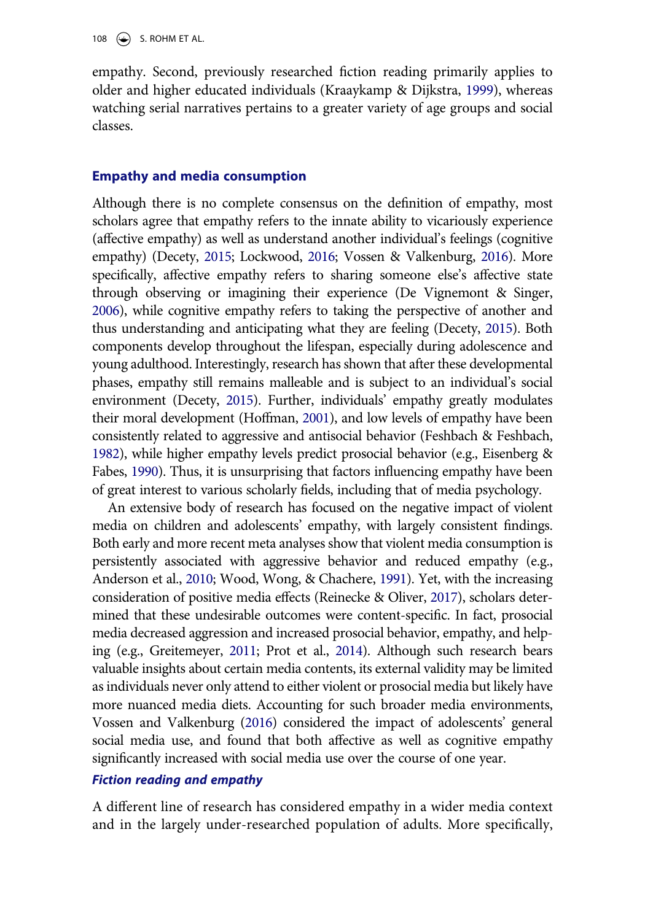<span id="page-3-6"></span>empathy. Second, previously researched fiction reading primarily applies to older and higher educated individuals (Kraaykamp & Dijkstra, [1999](#page-20-7)), whereas watching serial narratives pertains to a greater variety of age groups and social classes.

#### **Empathy and media consumption**

<span id="page-3-7"></span><span id="page-3-0"></span>Although there is no complete consensus on the definition of empathy, most scholars agree that empathy refers to the innate ability to vicariously experience (affective empathy) as well as understand another individual's feelings (cognitive empathy) (Decety, [2015;](#page-19-3) Lockwood, [2016;](#page-21-5) Vossen & Valkenburg, [2016](#page-22-4)). More specifically, affective empathy refers to sharing someone else's affective state through observing or imagining their experience (De Vignemont & Singer, [2006](#page-19-4)), while cognitive empathy refers to taking the perspective of another and thus understanding and anticipating what they are feeling (Decety, [2015](#page-19-3)). Both components develop throughout the lifespan, especially during adolescence and young adulthood. Interestingly, research has shown that after these developmental phases, empathy still remains malleable and is subject to an individual's social environment (Decety, [2015\)](#page-19-3). Further, individuals' empathy greatly modulates their moral development (Hoffman, [2001](#page-20-8)), and low levels of empathy have been consistently related to aggressive and antisocial behavior (Feshbach & Feshbach, [1982](#page-20-9)), while higher empathy levels predict prosocial behavior (e.g., Eisenberg & Fabes, [1990\)](#page-20-10). Thus, it is unsurprising that factors influencing empathy have been of great interest to various scholarly fields, including that of media psychology.

<span id="page-3-10"></span><span id="page-3-8"></span><span id="page-3-5"></span><span id="page-3-4"></span><span id="page-3-3"></span><span id="page-3-2"></span><span id="page-3-1"></span>An extensive body of research has focused on the negative impact of violent media on children and adolescents' empathy, with largely consistent findings. Both early and more recent meta analyses show that violent media consumption is persistently associated with aggressive behavior and reduced empathy (e.g., Anderson et al., [2010](#page-19-0); Wood, Wong, & Chachere, [1991\)](#page-22-5). Yet, with the increasing consideration of positive media effects (Reinecke & Oliver, [2017](#page-21-6)), scholars determined that these undesirable outcomes were content-specific. In fact, prosocial media decreased aggression and increased prosocial behavior, empathy, and helping (e.g., Greitemeyer, [2011](#page-20-11); Prot et al., [2014](#page-21-0)). Although such research bears valuable insights about certain media contents, its external validity may be limited as individuals never only attend to either violent or prosocial media but likely have more nuanced media diets. Accounting for such broader media environments, Vossen and Valkenburg ([2016\)](#page-22-4) considered the impact of adolescents' general social media use, and found that both affective as well as cognitive empathy significantly increased with social media use over the course of one year.

#### <span id="page-3-9"></span>*Fiction reading and empathy*

A different line of research has considered empathy in a wider media context and in the largely under-researched population of adults. More specifically,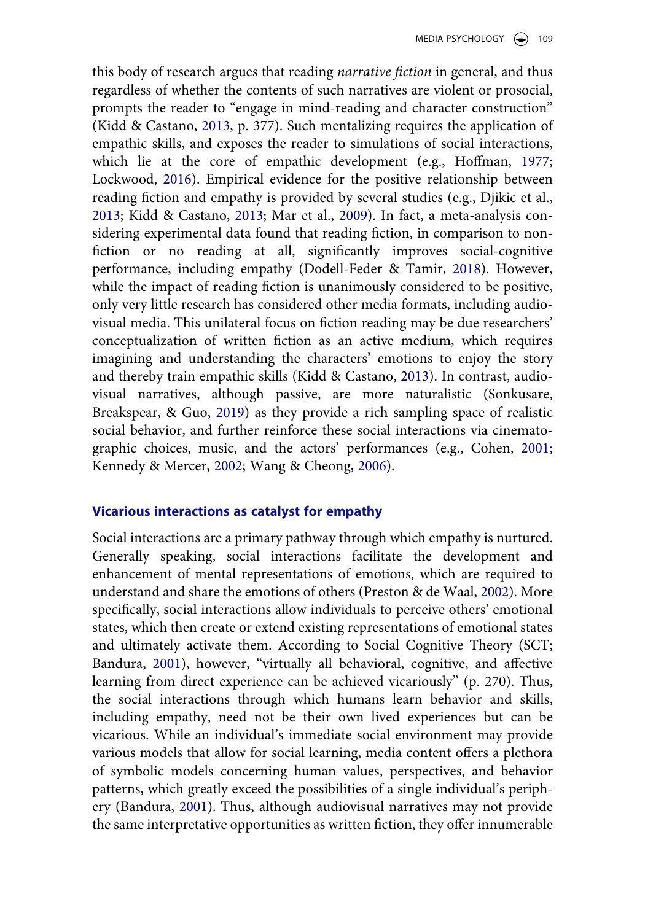<span id="page-4-1"></span>this body of research argues that reading *narrative fiction* in general, and thus regardless of whether the contents of such narratives are violent or prosocial, prompts the reader to "engage in mind-reading and character construction" (Kidd & Castano, [2013,](#page-20-5) p. 377). Such mentalizing requires the application of empathic skills, and exposes the reader to simulations of social interactions, which lie at the core of empathic development (e.g., Hoffman, [1977](#page-20-12); Lockwood, [2016\)](#page-21-5). Empirical evidence for the positive relationship between reading fiction and empathy is provided by several studies (e.g., Djikic et al., [2013](#page-20-2); Kidd & Castano, [2013;](#page-20-5) Mar et al., [2009](#page-21-2)). In fact, a meta-analysis considering experimental data found that reading fiction, in comparison to nonfiction or no reading at all, significantly improves social-cognitive performance, including empathy (Dodell-Feder & Tamir, [2018\)](#page-20-3). However, while the impact of reading fiction is unanimously considered to be positive, only very little research has considered other media formats, including audiovisual media. This unilateral focus on fiction reading may be due researchers' conceptualization of written fiction as an active medium, which requires imagining and understanding the characters' emotions to enjoy the story and thereby train empathic skills (Kidd & Castano, [2013](#page-20-5)). In contrast, audiovisual narratives, although passive, are more naturalistic (Sonkusare, Breakspear, & Guo, [2019\)](#page-22-6) as they provide a rich sampling space of realistic social behavior, and further reinforce these social interactions via cinematographic choices, music, and the actors' performances (e.g., Cohen, [2001](#page-19-5); Kennedy & Mercer, [2002](#page-20-13); Wang & Cheong, [2006\)](#page-22-7).

#### <span id="page-4-3"></span><span id="page-4-2"></span><span id="page-4-0"></span>**Vicarious interactions as catalyst for empathy**

Social interactions are a primary pathway through which empathy is nurtured. Generally speaking, social interactions facilitate the development and enhancement of mental representations of emotions, which are required to understand and share the emotions of others (Preston & de Waal, [2002\)](#page-21-3). More specifically, social interactions allow individuals to perceive others' emotional states, which then create or extend existing representations of emotional states and ultimately activate them. According to Social Cognitive Theory (SCT; Bandura, [2001\)](#page-19-1), however, "virtually all behavioral, cognitive, and affective learning from direct experience can be achieved vicariously" (p. 270). Thus, the social interactions through which humans learn behavior and skills, including empathy, need not be their own lived experiences but can be vicarious. While an individual's immediate social environment may provide various models that allow for social learning, media content offers a plethora of symbolic models concerning human values, perspectives, and behavior patterns, which greatly exceed the possibilities of a single individual's periphery (Bandura, [2001](#page-19-1)). Thus, although audiovisual narratives may not provide the same interpretative opportunities as written fiction, they offer innumerable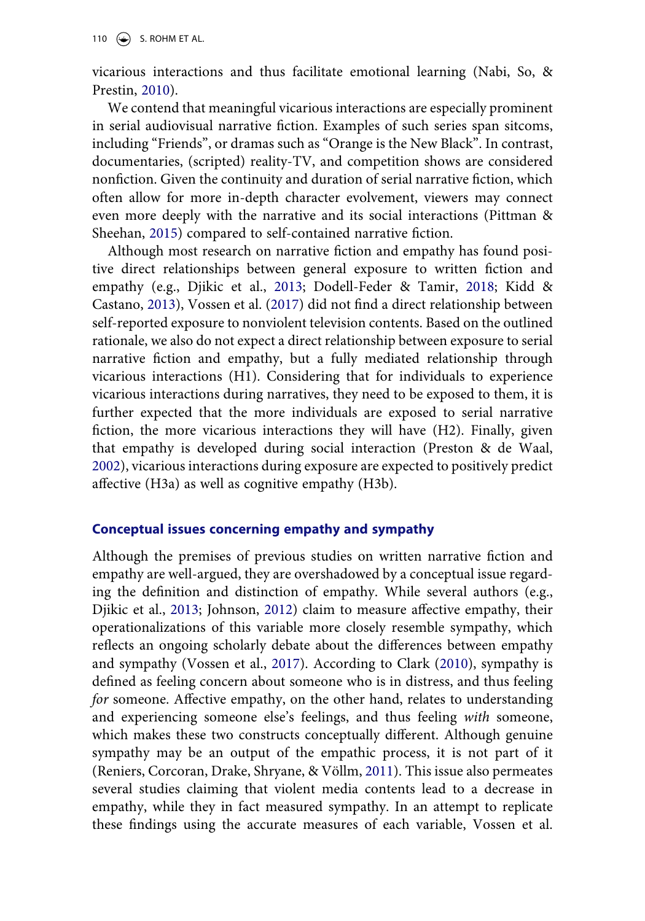110  $\left(\rightarrow\right)$  S. ROHM ET AL.

<span id="page-5-1"></span>vicarious interactions and thus facilitate emotional learning (Nabi, So, & Prestin, [2010\)](#page-21-7).

We contend that meaningful vicarious interactions are especially prominent in serial audiovisual narrative fiction. Examples of such series span sitcoms, including "Friends", or dramas such as "Orange is the New Black". In contrast, documentaries, (scripted) reality-TV, and competition shows are considered nonfiction. Given the continuity and duration of serial narrative fiction, which often allow for more in-depth character evolvement, viewers may connect even more deeply with the narrative and its social interactions (Pittman & Sheehan, [2015\)](#page-21-4) compared to self-contained narrative fiction.

Although most research on narrative fiction and empathy has found positive direct relationships between general exposure to written fiction and empathy (e.g., Djikic et al., [2013](#page-20-2); Dodell-Feder & Tamir, [2018](#page-20-3); Kidd & Castano, [2013](#page-20-5)), Vossen et al. ([2017\)](#page-22-0) did not find a direct relationship between self-reported exposure to nonviolent television contents. Based on the outlined rationale, we also do not expect a direct relationship between exposure to serial narrative fiction and empathy, but a fully mediated relationship through vicarious interactions (H1). Considering that for individuals to experience vicarious interactions during narratives, they need to be exposed to them, it is further expected that the more individuals are exposed to serial narrative fiction, the more vicarious interactions they will have (H2). Finally, given that empathy is developed during social interaction (Preston & de Waal, [2002](#page-21-3)), vicarious interactions during exposure are expected to positively predict affective (H3a) as well as cognitive empathy (H3b).

### **Conceptual issues concerning empathy and sympathy**

<span id="page-5-2"></span><span id="page-5-0"></span>Although the premises of previous studies on written narrative fiction and empathy are well-argued, they are overshadowed by a conceptual issue regarding the definition and distinction of empathy. While several authors (e.g., Djikic et al., [2013](#page-20-2); Johnson, [2012\)](#page-20-4) claim to measure affective empathy, their operationalizations of this variable more closely resemble sympathy, which reflects an ongoing scholarly debate about the differences between empathy and sympathy (Vossen et al., [2017](#page-22-0)). According to Clark ([2010\)](#page-19-6), sympathy is defined as feeling concern about someone who is in distress, and thus feeling *for* someone. Affective empathy, on the other hand, relates to understanding and experiencing someone else's feelings, and thus feeling *with* someone, which makes these two constructs conceptually different. Although genuine sympathy may be an output of the empathic process, it is not part of it (Reniers, Corcoran, Drake, Shryane, & Völlm, [2011\)](#page-21-8). This issue also permeates several studies claiming that violent media contents lead to a decrease in empathy, while they in fact measured sympathy. In an attempt to replicate these findings using the accurate measures of each variable, Vossen et al.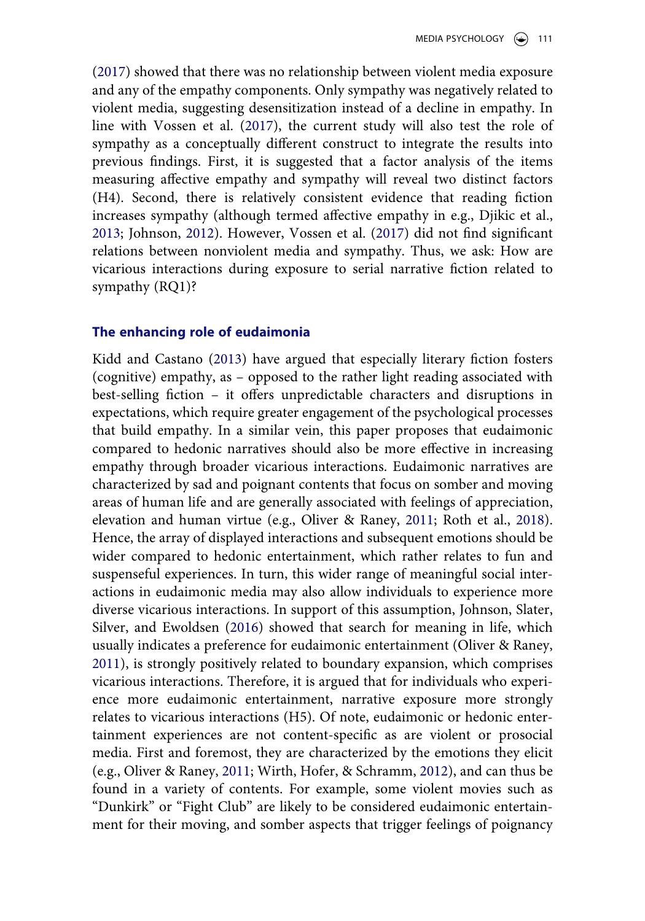([2017](#page-22-0)) showed that there was no relationship between violent media exposure and any of the empathy components. Only sympathy was negatively related to violent media, suggesting desensitization instead of a decline in empathy. In line with Vossen et al. [\(2017\)](#page-22-0), the current study will also test the role of sympathy as a conceptually different construct to integrate the results into previous findings. First, it is suggested that a factor analysis of the items measuring affective empathy and sympathy will reveal two distinct factors (H4). Second, there is relatively consistent evidence that reading fiction increases sympathy (although termed affective empathy in e.g., Djikic et al., [2013](#page-20-2); Johnson, [2012](#page-20-4)). However, Vossen et al. ([2017\)](#page-22-0) did not find significant relations between nonviolent media and sympathy. Thus, we ask: How are vicarious interactions during exposure to serial narrative fiction related to sympathy (RQ1)?

#### **The enhancing role of eudaimonia**

<span id="page-6-2"></span><span id="page-6-1"></span><span id="page-6-0"></span>Kidd and Castano ([2013\)](#page-20-5) have argued that especially literary fiction fosters (cognitive) empathy, as – opposed to the rather light reading associated with best-selling fiction – it offers unpredictable characters and disruptions in expectations, which require greater engagement of the psychological processes that build empathy. In a similar vein, this paper proposes that eudaimonic compared to hedonic narratives should also be more effective in increasing empathy through broader vicarious interactions. Eudaimonic narratives are characterized by sad and poignant contents that focus on somber and moving areas of human life and are generally associated with feelings of appreciation, elevation and human virtue (e.g., Oliver & Raney, [2011;](#page-21-9) Roth et al., [2018](#page-21-10)). Hence, the array of displayed interactions and subsequent emotions should be wider compared to hedonic entertainment, which rather relates to fun and suspenseful experiences. In turn, this wider range of meaningful social interactions in eudaimonic media may also allow individuals to experience more diverse vicarious interactions. In support of this assumption, Johnson, Slater, Silver, and Ewoldsen ([2016\)](#page-20-14) showed that search for meaning in life, which usually indicates a preference for eudaimonic entertainment (Oliver & Raney, [2011](#page-21-9)), is strongly positively related to boundary expansion, which comprises vicarious interactions. Therefore, it is argued that for individuals who experience more eudaimonic entertainment, narrative exposure more strongly relates to vicarious interactions (H5). Of note, eudaimonic or hedonic entertainment experiences are not content-specific as are violent or prosocial media. First and foremost, they are characterized by the emotions they elicit (e.g., Oliver & Raney, [2011;](#page-21-9) Wirth, Hofer, & Schramm, [2012](#page-22-8)), and can thus be found in a variety of contents. For example, some violent movies such as "Dunkirk" or "Fight Club" are likely to be considered eudaimonic entertainment for their moving, and somber aspects that trigger feelings of poignancy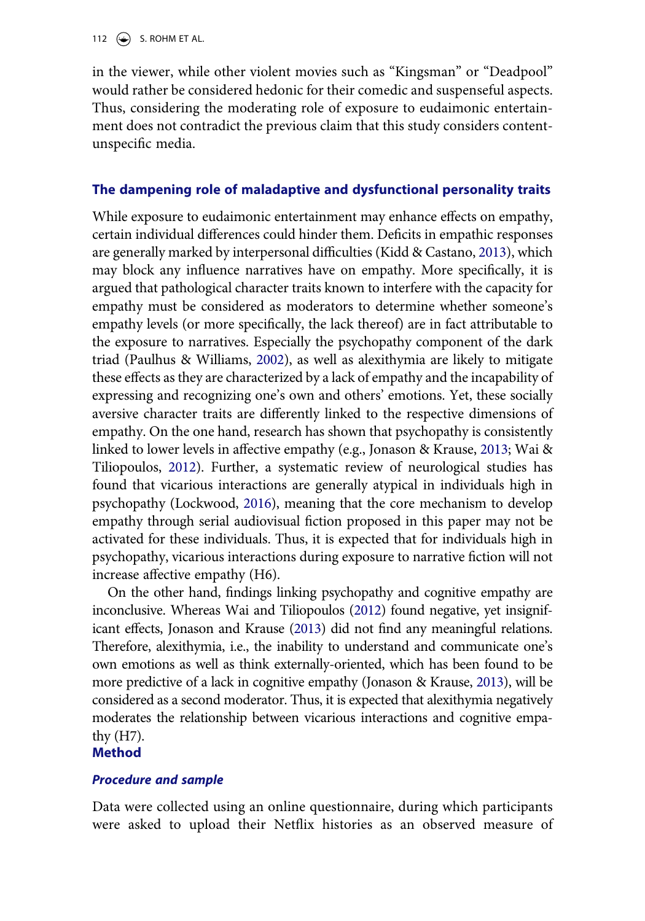112  $\left(\rightarrow\right)$  S. ROHM ET AL.

in the viewer, while other violent movies such as "Kingsman" or "Deadpool" would rather be considered hedonic for their comedic and suspenseful aspects. Thus, considering the moderating role of exposure to eudaimonic entertainment does not contradict the previous claim that this study considers contentunspecific media.

### **The dampening role of maladaptive and dysfunctional personality traits**

<span id="page-7-1"></span>While exposure to eudaimonic entertainment may enhance effects on empathy, certain individual differences could hinder them. Deficits in empathic responses are generally marked by interpersonal difficulties (Kidd & Castano, [2013\)](#page-20-5), which may block any influence narratives have on empathy. More specifically, it is argued that pathological character traits known to interfere with the capacity for empathy must be considered as moderators to determine whether someone's empathy levels (or more specifically, the lack thereof) are in fact attributable to the exposure to narratives. Especially the psychopathy component of the dark triad (Paulhus & Williams, [2002\)](#page-21-11), as well as alexithymia are likely to mitigate these effects as they are characterized by a lack of empathy and the incapability of expressing and recognizing one's own and others' emotions. Yet, these socially aversive character traits are differently linked to the respective dimensions of empathy. On the one hand, research has shown that psychopathy is consistently linked to lower levels in affective empathy (e.g., Jonason & Krause, [2013;](#page-20-15) Wai & Tiliopoulos, [2012](#page-22-9)). Further, a systematic review of neurological studies has found that vicarious interactions are generally atypical in individuals high in psychopathy (Lockwood, [2016\)](#page-21-5), meaning that the core mechanism to develop empathy through serial audiovisual fiction proposed in this paper may not be activated for these individuals. Thus, it is expected that for individuals high in psychopathy, vicarious interactions during exposure to narrative fiction will not increase affective empathy (H6).

<span id="page-7-2"></span>On the other hand, findings linking psychopathy and cognitive empathy are inconclusive. Whereas Wai and Tiliopoulos ([2012\)](#page-22-9) found negative, yet insignificant effects, Jonason and Krause ([2013\)](#page-20-15) did not find any meaningful relations. Therefore, alexithymia, i.e., the inability to understand and communicate one's own emotions as well as think externally-oriented, which has been found to be more predictive of a lack in cognitive empathy (Jonason & Krause, [2013](#page-20-15)), will be considered as a second moderator. Thus, it is expected that alexithymia negatively moderates the relationship between vicarious interactions and cognitive empathy (H7).

### <span id="page-7-0"></span>**Method**

#### *Procedure and sample*

Data were collected using an online questionnaire, during which participants were asked to upload their Netflix histories as an observed measure of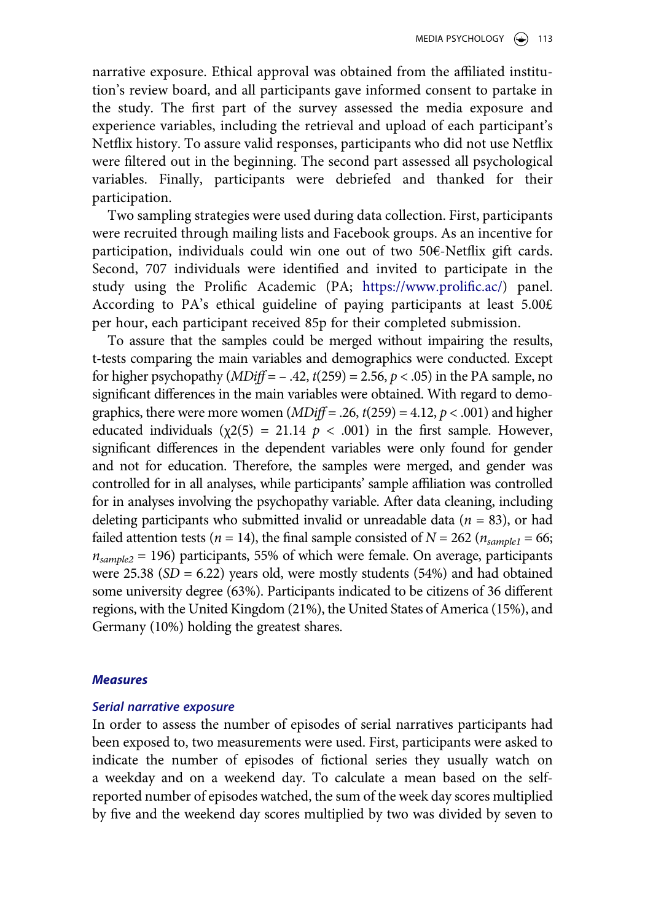narrative exposure. Ethical approval was obtained from the affiliated institution's review board, and all participants gave informed consent to partake in the study. The first part of the survey assessed the media exposure and experience variables, including the retrieval and upload of each participant's Netflix history. To assure valid responses, participants who did not use Netflix were filtered out in the beginning. The second part assessed all psychological variables. Finally, participants were debriefed and thanked for their participation.

Two sampling strategies were used during data collection. First, participants were recruited through mailing lists and Facebook groups. As an incentive for participation, individuals could win one out of two  $50\epsilon$ -Netflix gift cards. Second, 707 individuals were identified and invited to participate in the study using the Prolific Academic (PA; [https://www.prolific.ac/\)](https://www.prolific.ac/) panel. According to PA's ethical guideline of paying participants at least  $5.00 \text{E}$ per hour, each participant received 85p for their completed submission.

To assure that the samples could be merged without impairing the results, t-tests comparing the main variables and demographics were conducted. Except for higher psychopathy (*MDiff* = – .42, *t*(259) = 2.56, *p* < .05) in the PA sample, no significant differences in the main variables were obtained. With regard to demographics, there were more women  $(MDiff = .26, t(259) = 4.12, p < .001)$  and higher educated individuals  $(\chi^2(5) = 21.14 \, p \, \langle \, .001)$  in the first sample. However, significant differences in the dependent variables were only found for gender and not for education. Therefore, the samples were merged, and gender was controlled for in all analyses, while participants' sample affiliation was controlled for in analyses involving the psychopathy variable. After data cleaning, including deleting participants who submitted invalid or unreadable data  $(n = 83)$ , or had failed attention tests ( $n = 14$ ), the final sample consisted of  $N = 262$  ( $n_{sample1} = 66$ ; *nsample2* = 196) participants, 55% of which were female. On average, participants were 25.38  $(SD = 6.22)$  years old, were mostly students (54%) and had obtained some university degree (63%). Participants indicated to be citizens of 36 different regions, with the United Kingdom (21%), the United States of America (15%), and Germany (10%) holding the greatest shares.

#### *Measures*

#### *Serial narrative exposure*

In order to assess the number of episodes of serial narratives participants had been exposed to, two measurements were used. First, participants were asked to indicate the number of episodes of fictional series they usually watch on a weekday and on a weekend day. To calculate a mean based on the selfreported number of episodes watched, the sum of the week day scores multiplied by five and the weekend day scores multiplied by two was divided by seven to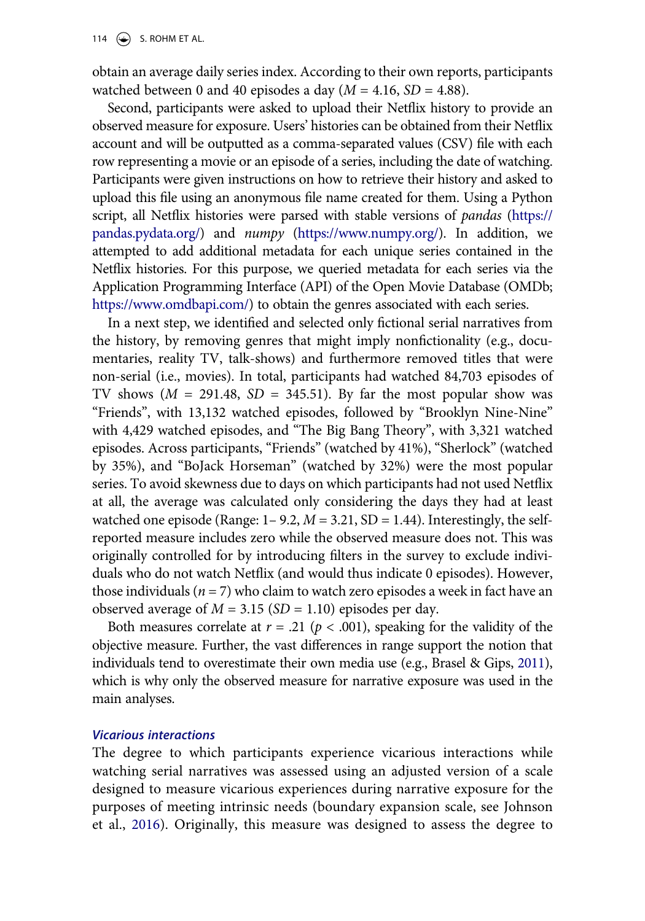obtain an average daily series index. According to their own reports, participants watched between 0 and 40 episodes a day  $(M = 4.16, SD = 4.88)$ .

Second, participants were asked to upload their Netflix history to provide an observed measure for exposure. Users' histories can be obtained from their Netflix account and will be outputted as a comma-separated values (CSV) file with each row representing a movie or an episode of a series, including the date of watching. Participants were given instructions on how to retrieve their history and asked to upload this file using an anonymous file name created for them. Using a Python script, all Netflix histories were parsed with stable versions of *pandas* [\(https://](https://pandas.pydata.org/)  [pandas.pydata.org/](https://pandas.pydata.org/)) and *numpy* ([https://www.numpy.org/\)](https://www.numpy.org/). In addition, we attempted to add additional metadata for each unique series contained in the Netflix histories. For this purpose, we queried metadata for each series via the Application Programming Interface (API) of the Open Movie Database (OMDb; <https://www.omdbapi.com/>) to obtain the genres associated with each series.

In a next step, we identified and selected only fictional serial narratives from the history, by removing genres that might imply nonfictionality (e.g., documentaries, reality TV, talk-shows) and furthermore removed titles that were non-serial (i.e., movies). In total, participants had watched 84,703 episodes of TV shows  $(M = 291.48, SD = 345.51)$ . By far the most popular show was "Friends", with 13,132 watched episodes, followed by "Brooklyn Nine-Nine" with 4,429 watched episodes, and "The Big Bang Theory", with 3,321 watched episodes. Across participants, "Friends" (watched by 41%), "Sherlock" (watched by 35%), and "BoJack Horseman" (watched by 32%) were the most popular series. To avoid skewness due to days on which participants had not used Netflix at all, the average was calculated only considering the days they had at least watched one episode (Range:  $1 - 9.2$ ,  $M = 3.21$ , SD = 1.44). Interestingly, the selfreported measure includes zero while the observed measure does not. This was originally controlled for by introducing filters in the survey to exclude individuals who do not watch Netflix (and would thus indicate 0 episodes). However, those individuals ( $n = 7$ ) who claim to watch zero episodes a week in fact have an observed average of *M* = 3.15 (*SD* = 1.10) episodes per day.

<span id="page-9-0"></span>Both measures correlate at  $r = .21$  ( $p < .001$ ), speaking for the validity of the objective measure. Further, the vast differences in range support the notion that individuals tend to overestimate their own media use (e.g., Brasel & Gips, [2011\)](#page-19-7), which is why only the observed measure for narrative exposure was used in the main analyses.

#### *Vicarious interactions*

The degree to which participants experience vicarious interactions while watching serial narratives was assessed using an adjusted version of a scale designed to measure vicarious experiences during narrative exposure for the purposes of meeting intrinsic needs (boundary expansion scale, see Johnson et al., [2016\)](#page-20-14). Originally, this measure was designed to assess the degree to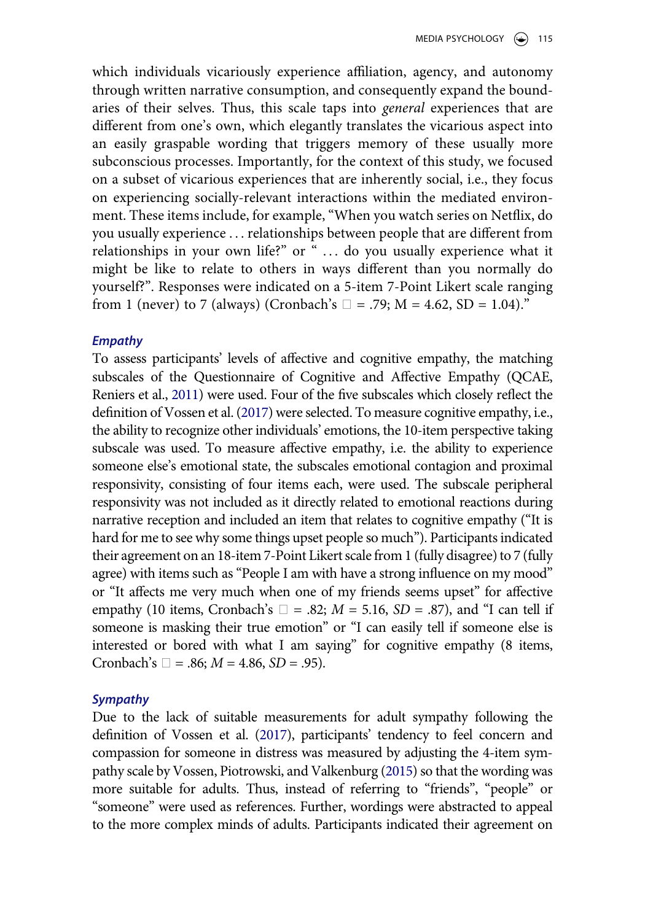which individuals vicariously experience affiliation, agency, and autonomy through written narrative consumption, and consequently expand the boundaries of their selves. Thus, this scale taps into *general* experiences that are different from one's own, which elegantly translates the vicarious aspect into an easily graspable wording that triggers memory of these usually more subconscious processes. Importantly, for the context of this study, we focused on a subset of vicarious experiences that are inherently social, i.e., they focus on experiencing socially-relevant interactions within the mediated environment. These items include, for example, "When you watch series on Netflix, do you usually experience . . . relationships between people that are different from relationships in your own life?" or " ... do you usually experience what it might be like to relate to others in ways different than you normally do yourself?". Responses were indicated on a 5-item 7-Point Likert scale ranging from 1 (never) to 7 (always) (Cronbach's  $\Box$  = .79; M = 4.62, SD = 1.04)."

#### *Empathy*

To assess participants' levels of affective and cognitive empathy, the matching subscales of the Questionnaire of Cognitive and Affective Empathy (QCAE, Reniers et al., [2011](#page-21-8)) were used. Four of the five subscales which closely reflect the definition of Vossen et al. [\(2017\)](#page-22-0) were selected. To measure cognitive empathy, i.e., the ability to recognize other individuals' emotions, the 10-item perspective taking subscale was used. To measure affective empathy, i.e. the ability to experience someone else's emotional state, the subscales emotional contagion and proximal responsivity, consisting of four items each, were used. The subscale peripheral responsivity was not included as it directly related to emotional reactions during narrative reception and included an item that relates to cognitive empathy ("It is hard for me to see why some things upset people so much"). Participants indicated their agreement on an 18-item 7-Point Likert scale from 1 (fully disagree) to 7 (fully agree) with items such as "People I am with have a strong influence on my mood" or "It affects me very much when one of my friends seems upset" for affective empathy (10 items, Cronbach's  $\Box$  = .82;  $M = 5.16$ ,  $SD = .87$ ), and "I can tell if someone is masking their true emotion" or "I can easily tell if someone else is interested or bored with what I am saying" for cognitive empathy (8 items, Cronbach's  $\Box = .86$ ;  $M = 4.86$ ,  $SD = .95$ ).

#### *Sympathy*

<span id="page-10-0"></span>Due to the lack of suitable measurements for adult sympathy following the definition of Vossen et al. [\(2017](#page-22-0)), participants' tendency to feel concern and compassion for someone in distress was measured by adjusting the 4-item sympathy scale by Vossen, Piotrowski, and Valkenburg [\(2015](#page-22-10)) so that the wording was more suitable for adults. Thus, instead of referring to "friends", "people" or "someone" were used as references. Further, wordings were abstracted to appeal to the more complex minds of adults. Participants indicated their agreement on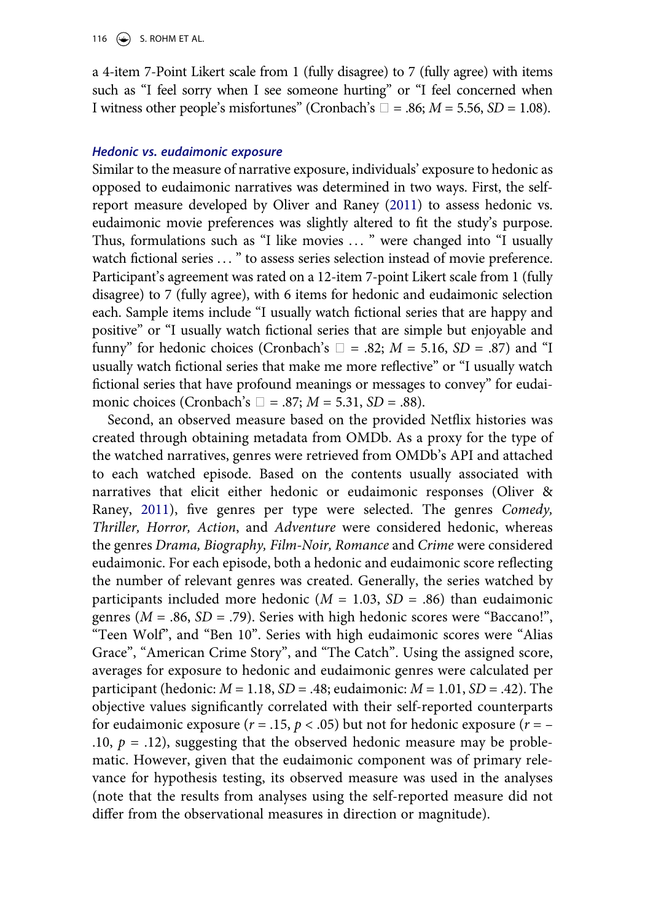a 4-item 7-Point Likert scale from 1 (fully disagree) to 7 (fully agree) with items such as "I feel sorry when I see someone hurting" or "I feel concerned when I witness other people's misfortunes" (Cronbach's  $\Box$  = .86;  $M$  = 5.56, *SD* = 1.08).

#### *Hedonic vs. eudaimonic exposure*

Similar to the measure of narrative exposure, individuals' exposure to hedonic as opposed to eudaimonic narratives was determined in two ways. First, the selfreport measure developed by Oliver and Raney [\(2011](#page-21-9)) to assess hedonic vs. eudaimonic movie preferences was slightly altered to fit the study's purpose. Thus, formulations such as "I like movies ..." were changed into "I usually watch fictional series ... " to assess series selection instead of movie preference. Participant's agreement was rated on a 12-item 7-point Likert scale from 1 (fully disagree) to 7 (fully agree), with 6 items for hedonic and eudaimonic selection each. Sample items include "I usually watch fictional series that are happy and positive" or "I usually watch fictional series that are simple but enjoyable and funny" for hedonic choices (Cronbach's  $\Box$  = .82;  $M = 5.16$ ,  $SD = .87$ ) and "I usually watch fictional series that make me more reflective" or "I usually watch fictional series that have profound meanings or messages to convey" for eudaimonic choices (Cronbach's  $\Box$  = .87;  $M = 5.31$ ,  $SD = .88$ ).

Second, an observed measure based on the provided Netflix histories was created through obtaining metadata from OMDb. As a proxy for the type of the watched narratives, genres were retrieved from OMDb's API and attached to each watched episode. Based on the contents usually associated with narratives that elicit either hedonic or eudaimonic responses (Oliver & Raney, [2011](#page-21-9)), five genres per type were selected. The genres *Comedy, Thriller, Horror, Action*, and *Adventure* were considered hedonic, whereas the genres *Drama, Biography, Film-Noir, Romance* and *Crime* were considered eudaimonic. For each episode, both a hedonic and eudaimonic score reflecting the number of relevant genres was created. Generally, the series watched by participants included more hedonic ( $M = 1.03$ ,  $SD = .86$ ) than eudaimonic genres (*M* = .86, *SD* = .79). Series with high hedonic scores were "Baccano!", "Teen Wolf", and "Ben 10". Series with high eudaimonic scores were "Alias Grace", "American Crime Story", and "The Catch". Using the assigned score, averages for exposure to hedonic and eudaimonic genres were calculated per participant (hedonic: *M* = 1.18, *SD* = .48; eudaimonic: *M* = 1.01, *SD* = .42). The objective values significantly correlated with their self-reported counterparts for eudaimonic exposure ( $r = .15$ ,  $p < .05$ ) but not for hedonic exposure ( $r = -$ .10,  $p = .12$ ), suggesting that the observed hedonic measure may be problematic. However, given that the eudaimonic component was of primary relevance for hypothesis testing, its observed measure was used in the analyses (note that the results from analyses using the self-reported measure did not differ from the observational measures in direction or magnitude).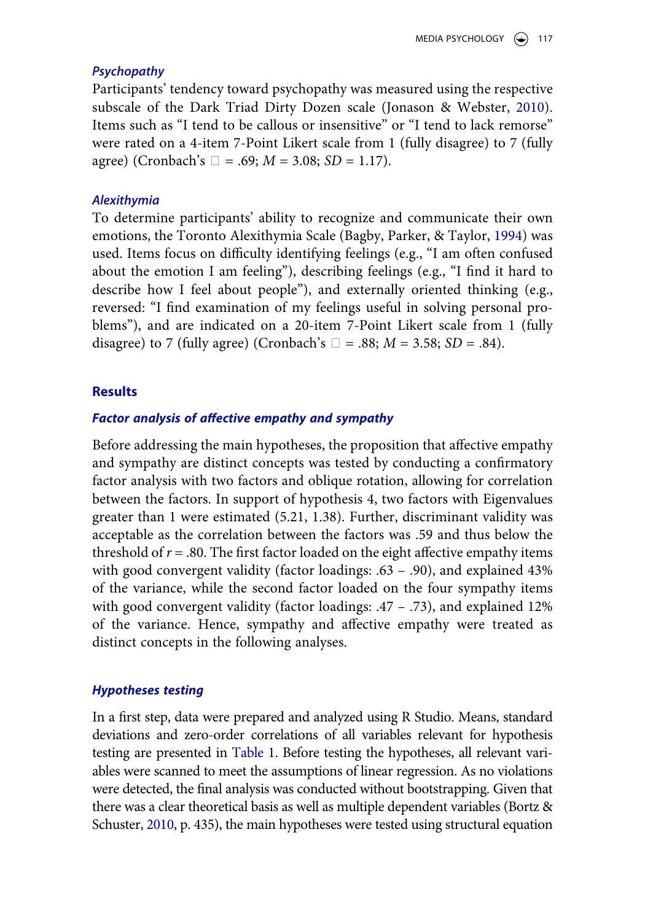### *Psychopathy*

<span id="page-12-2"></span>Participants' tendency toward psychopathy was measured using the respective subscale of the Dark Triad Dirty Dozen scale (Jonason & Webster, [2010](#page-20-16)). Items such as "I tend to be callous or insensitive" or "I tend to lack remorse" were rated on a 4-item 7-Point Likert scale from 1 (fully disagree) to 7 (fully agree) (Cronbach's  $\Box = .69$ ;  $M = 3.08$ ;  $SD = 1.17$ ).

#### *Alexithymia*

<span id="page-12-0"></span>To determine participants' ability to recognize and communicate their own emotions, the Toronto Alexithymia Scale (Bagby, Parker, & Taylor, [1994](#page-19-8)) was used. Items focus on difficulty identifying feelings (e.g., "I am often confused about the emotion I am feeling"), describing feelings (e.g., "I find it hard to describe how I feel about people"), and externally oriented thinking (e.g., reversed: "I find examination of my feelings useful in solving personal problems"), and are indicated on a 20-item 7-Point Likert scale from 1 (fully disagree) to 7 (fully agree) (Cronbach's  $\Box$  = .88;  $M = 3.58$ ; *SD* = .84).

#### **Results**

#### *Factor analysis of affective empathy and sympathy*

Before addressing the main hypotheses, the proposition that affective empathy and sympathy are distinct concepts was tested by conducting a confirmatory factor analysis with two factors and oblique rotation, allowing for correlation between the factors. In support of hypothesis 4, two factors with Eigenvalues greater than 1 were estimated (5.21, 1.38). Further, discriminant validity was acceptable as the correlation between the factors was .59 and thus below the threshold of  $r = .80$ . The first factor loaded on the eight affective empathy items with good convergent validity (factor loadings: .63 – .90), and explained 43% of the variance, while the second factor loaded on the four sympathy items with good convergent validity (factor loadings: .47 – .73), and explained 12% of the variance. Hence, sympathy and affective empathy were treated as distinct concepts in the following analyses.

#### *Hypotheses testing*

<span id="page-12-1"></span>In a first step, data were prepared and analyzed using R Studio. Means, standard deviations and zero-order correlations of all variables relevant for hypothesis testing are presented in [Table 1.](#page-13-0) Before testing the hypotheses, all relevant variables were scanned to meet the assumptions of linear regression. As no violations were detected, the final analysis was conducted without bootstrapping. Given that there was a clear theoretical basis as well as multiple dependent variables (Bortz & Schuster, [2010,](#page-19-9) p. 435), the main hypotheses were tested using structural equation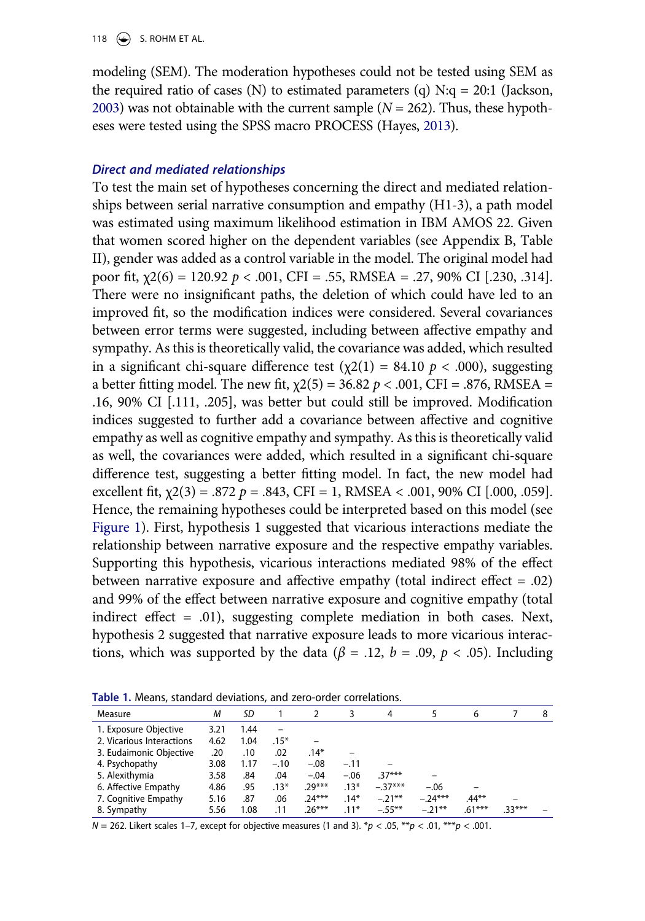<span id="page-13-2"></span><span id="page-13-1"></span>modeling (SEM). The moderation hypotheses could not be tested using SEM as the required ratio of cases (N) to estimated parameters (q)  $N:q = 20:1$  (Jackson, [2003](#page-20-17)) was not obtainable with the current sample  $(N = 262)$ . Thus, these hypotheses were tested using the SPSS macro PROCESS (Hayes, [2013](#page-20-18)).

#### *Direct and mediated relationships*

To test the main set of hypotheses concerning the direct and mediated relationships between serial narrative consumption and empathy (H1-3), a path model was estimated using maximum likelihood estimation in IBM AMOS 22. Given that women scored higher on the dependent variables (see Appendix B, Table II), gender was added as a control variable in the model. The original model had poor fit, χ2(6) = 120.92 *p* < .001, CFI = .55, RMSEA = .27, 90% CI [.230, .314]. There were no insignificant paths, the deletion of which could have led to an improved fit, so the modification indices were considered. Several covariances between error terms were suggested, including between affective empathy and sympathy. As this is theoretically valid, the covariance was added, which resulted in a significant chi-square difference test  $(\chi^2(1) = 84.10 \, p < .000)$ , suggesting a better fitting model. The new fit,  $χ2(5) = 36.82 p < .001$ , CFI = .876, RMSEA = .16, 90% CI [.111, .205], was better but could still be improved. Modification indices suggested to further add a covariance between affective and cognitive empathy as well as cognitive empathy and sympathy. As this is theoretically valid as well, the covariances were added, which resulted in a significant chi-square difference test, suggesting a better fitting model. In fact, the new model had excellent fit,  $\chi$ 2(3) = .872 *p* = .843, CFI = 1, RMSEA < .001, 90% CI [.000, .059]. Hence, the remaining hypotheses could be interpreted based on this model (see [Figure 1](#page-14-0)). First, hypothesis 1 suggested that vicarious interactions mediate the relationship between narrative exposure and the respective empathy variables. Supporting this hypothesis, vicarious interactions mediated 98% of the effect between narrative exposure and affective empathy (total indirect effect = .02) and 99% of the effect between narrative exposure and cognitive empathy (total indirect effect = .01), suggesting complete mediation in both cases. Next, hypothesis 2 suggested that narrative exposure leads to more vicarious interactions, which was supported by the data ( $\beta$  = .12, *b* = .09, *p* < .05). Including

<span id="page-13-0"></span>

| Measure                   | M    | SD   |        |          |        | 4         |           | 6        |          | 8 |
|---------------------------|------|------|--------|----------|--------|-----------|-----------|----------|----------|---|
| 1. Exposure Objective     | 3.21 | .44  |        |          |        |           |           |          |          |   |
| 2. Vicarious Interactions | 4.62 | 1.04 | $.15*$ |          |        |           |           |          |          |   |
| 3. Eudaimonic Objective   | .20  | .10  | .02    | $.14*$   |        |           |           |          |          |   |
| 4. Psychopathy            | 3.08 | 1.17 | $-.10$ | $-.08$   | $-.11$ |           |           |          |          |   |
| 5. Alexithymia            | 3.58 | .84  | .04    | $-.04$   | $-.06$ | $.37***$  |           |          |          |   |
| 6. Affective Empathy      | 4.86 | .95  | $.13*$ | $.29***$ | $.13*$ | $-.37***$ | $-.06$    |          |          |   |
| 7. Cognitive Empathy      | 5.16 | .87  | .06    | $.24***$ | $.14*$ | $-.21***$ | $-.24***$ | $.44**$  |          |   |
| 8. Sympathy               | 5.56 | 1.08 | .11    | $.26***$ | $.11*$ | $-.55***$ | $-.21***$ | $.61***$ | $.33***$ |   |

*N* = 262. Likert scales 1–7, except for objective measures (1 and 3). \**p* < .05, \*\**p* < .01, \*\*\**p* < .001.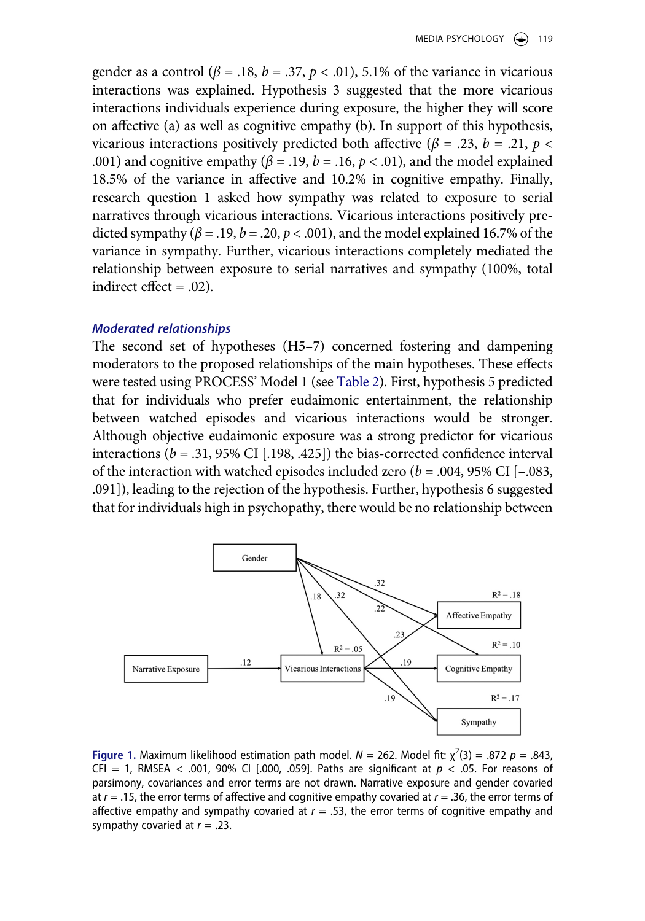gender as a control ( $\beta$  = .18,  $b$  = .37,  $p$  < .01), 5.1% of the variance in vicarious interactions was explained. Hypothesis 3 suggested that the more vicarious interactions individuals experience during exposure, the higher they will score on affective (a) as well as cognitive empathy (b). In support of this hypothesis, vicarious interactions positively predicted both affective ( $\beta$  = .23, *b* = .21, *p* < .001) and cognitive empathy ( $\beta$  = .19,  $b$  = .16,  $p$  < .01), and the model explained 18.5% of the variance in affective and 10.2% in cognitive empathy. Finally, research question 1 asked how sympathy was related to exposure to serial narratives through vicarious interactions. Vicarious interactions positively predicted sympathy ( $\beta$  = .19,  $b$  = .20,  $p$  < .001), and the model explained 16.7% of the variance in sympathy. Further, vicarious interactions completely mediated the relationship between exposure to serial narratives and sympathy (100%, total indirect effect  $= .02$ ).

#### *Moderated relationships*

The second set of hypotheses (H5–7) concerned fostering and dampening moderators to the proposed relationships of the main hypotheses. These effects were tested using PROCESS' Model 1 (see [Table 2](#page-15-0)). First, hypothesis 5 predicted that for individuals who prefer eudaimonic entertainment, the relationship between watched episodes and vicarious interactions would be stronger. Although objective eudaimonic exposure was a strong predictor for vicarious interactions ( $b = .31,95\%$  CI [.198, .425]) the bias-corrected confidence interval of the interaction with watched episodes included zero  $(b = .004, 95\% \text{ CI } [-.083, ]$ .091]), leading to the rejection of the hypothesis. Further, hypothesis 6 suggested that for individuals high in psychopathy, there would be no relationship between

<span id="page-14-0"></span>

**Figure 1.** Maximum likelihood estimation path model.  $N = 262$ . Model fit:  $\chi^2(3) = .872$   $p = .843$ , CFI = 1, RMSEA < .001, 90% CI [.000, .059]. Paths are significant at  $p \lt 0.05$ . For reasons of parsimony, covariances and error terms are not drawn. Narrative exposure and gender covaried at *r* = .15, the error terms of affective and cognitive empathy covaried at *r* = .36, the error terms of affective empathy and sympathy covaried at  $r = .53$ , the error terms of cognitive empathy and sympathy covaried at *r* = .23.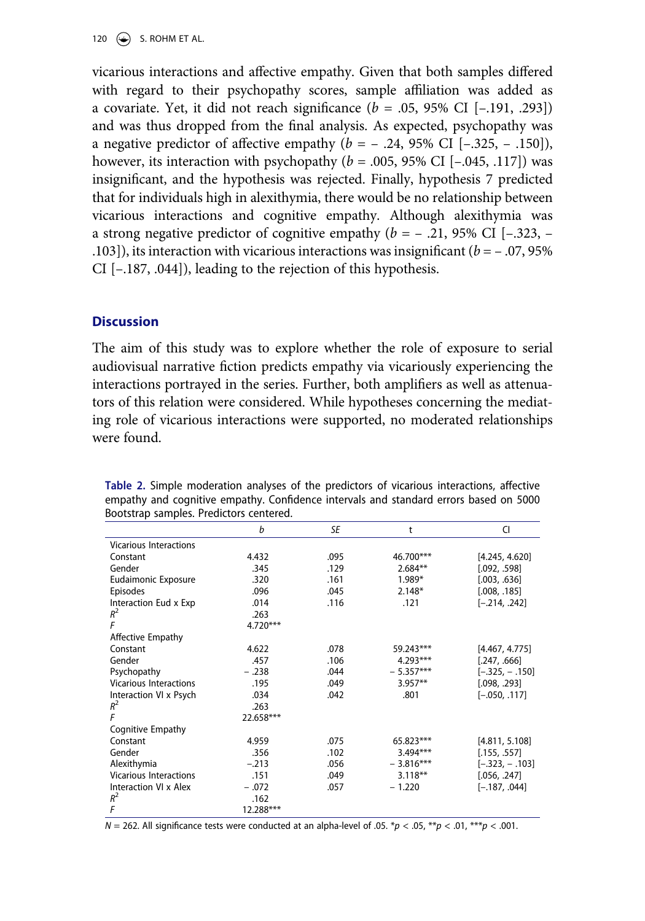120  $\left(\rightarrow\right)$  S. ROHM ET AL.

vicarious interactions and affective empathy. Given that both samples differed with regard to their psychopathy scores, sample affiliation was added as a covariate. Yet, it did not reach significance (*b* = .05, 95% CI [–.191, .293]) and was thus dropped from the final analysis. As expected, psychopathy was a negative predictor of affective empathy  $(b = -.24, 95\% \text{ CI } [-.325, -.150]),$ however, its interaction with psychopathy  $(b = .005, 95\% \text{ CI} [-.045, .117])$  was insignificant, and the hypothesis was rejected. Finally, hypothesis 7 predicted that for individuals high in alexithymia, there would be no relationship between vicarious interactions and cognitive empathy. Although alexithymia was a strong negative predictor of cognitive empathy  $(b = -0.21, 95\% \text{ CI } [-0.323, -0.325]$ .103]), its interaction with vicarious interactions was insignificant (*b* = – .07, 95% CI [–.187, .044]), leading to the rejection of this hypothesis.

### **Discussion**

The aim of this study was to explore whether the role of exposure to serial audiovisual narrative fiction predicts empathy via vicariously experiencing the interactions portrayed in the series. Further, both amplifiers as well as attenuators of this relation were considered. While hypotheses concerning the mediating role of vicarious interactions were supported, no moderated relationships were found.

|                               | b         | SE   | t           | CI               |
|-------------------------------|-----------|------|-------------|------------------|
| <b>Vicarious Interactions</b> |           |      |             |                  |
| Constant                      | 4.432     | .095 | 46.700***   | [4.245, 4.620]   |
| Gender                        | .345      | .129 | $2.684**$   | [.092, .598]     |
| Eudaimonic Exposure           | .320      | .161 | $1.989*$    | [.003, .636]     |
| Episodes                      | .096      | .045 | $2.148*$    | [.008, .185]     |
| Interaction Eud x Exp         | .014      | .116 | .121        | $[-.214, .242]$  |
| $R^2$                         | .263      |      |             |                  |
| F                             | 4.720***  |      |             |                  |
| Affective Empathy             |           |      |             |                  |
| Constant                      | 4.622     | .078 | 59.243***   | [4.467, 4.775]   |
| Gender                        | .457      | .106 | $4.293***$  | [.247, .666]     |
| Psychopathy                   | $-.238$   | .044 | $-5.357***$ | $[-.325, -.150]$ |
| <b>Vicarious Interactions</b> | .195      | .049 | $3.957**$   | [.098, .293]     |
| Interaction VI x Psych        | .034      | .042 | .801        | $[-.050, .117]$  |
| $R^2$                         | .263      |      |             |                  |
| F                             | 22.658*** |      |             |                  |
| Cognitive Empathy             |           |      |             |                  |
| Constant                      | 4.959     | .075 | 65.823***   | [4.811, 5.108]   |
| Gender                        | .356      | .102 | $3.494***$  | [.155, .557]     |
| Alexithymia                   | $-.213$   | .056 | $-3.816***$ | $[-.323, -.103]$ |
| <b>Vicarious Interactions</b> | .151      | .049 | $3.118**$   | [.056, .247]     |
| Interaction VI x Alex         | $-.072$   | .057 | $-1.220$    | $[-.187, .044]$  |
| $R^2$                         | .162      |      |             |                  |
| F                             | 12.288*** |      |             |                  |

<span id="page-15-0"></span>**Table 2.** Simple moderation analyses of the predictors of vicarious interactions, affective empathy and cognitive empathy. Confidence intervals and standard errors based on 5000 Bootstrap samples. Predictors centered.

 $N = 262$ . All significance tests were conducted at an alpha-level of .05.  $*p < .05$ ,  $*p < .01$ ,  $**p < .001$ .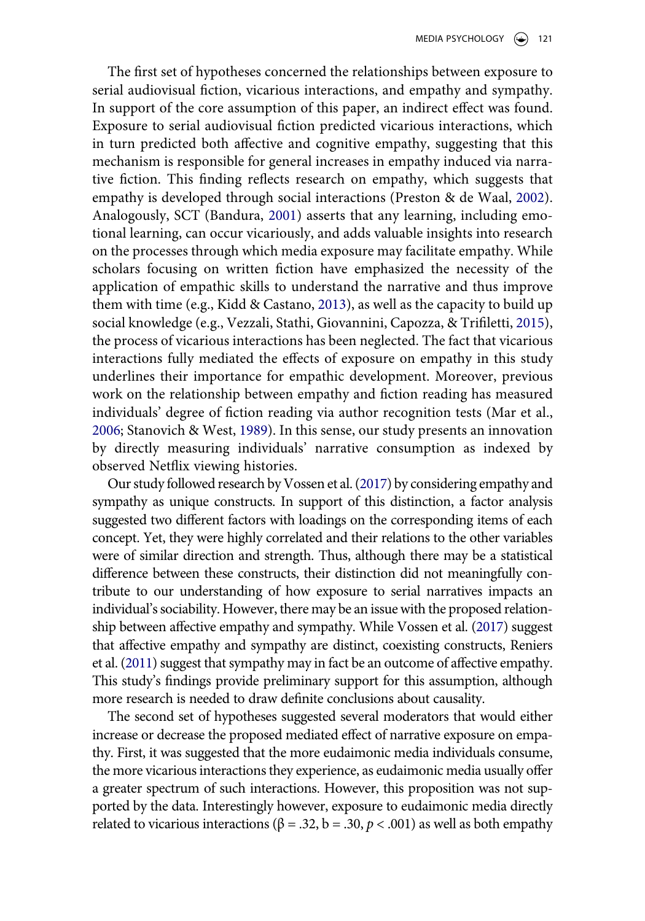The first set of hypotheses concerned the relationships between exposure to serial audiovisual fiction, vicarious interactions, and empathy and sympathy. In support of the core assumption of this paper, an indirect effect was found. Exposure to serial audiovisual fiction predicted vicarious interactions, which in turn predicted both affective and cognitive empathy, suggesting that this mechanism is responsible for general increases in empathy induced via narrative fiction. This finding reflects research on empathy, which suggests that empathy is developed through social interactions (Preston & de Waal, [2002](#page-21-3)). Analogously, SCT (Bandura, [2001\)](#page-19-1) asserts that any learning, including emotional learning, can occur vicariously, and adds valuable insights into research on the processes through which media exposure may facilitate empathy. While scholars focusing on written fiction have emphasized the necessity of the application of empathic skills to understand the narrative and thus improve them with time (e.g., Kidd & Castano, [2013\)](#page-20-5), as well as the capacity to build up social knowledge (e.g., Vezzali, Stathi, Giovannini, Capozza, & Trifiletti, [2015](#page-22-11)), the process of vicarious interactions has been neglected. The fact that vicarious interactions fully mediated the effects of exposure on empathy in this study underlines their importance for empathic development. Moreover, previous work on the relationship between empathy and fiction reading has measured individuals' degree of fiction reading via author recognition tests (Mar et al., [2006](#page-21-12); Stanovich & West, [1989](#page-22-12)). In this sense, our study presents an innovation by directly measuring individuals' narrative consumption as indexed by observed Netflix viewing histories.

<span id="page-16-2"></span><span id="page-16-1"></span><span id="page-16-0"></span>Our study followed research by Vossen et al. [\(2017](#page-22-0)) by considering empathy and sympathy as unique constructs. In support of this distinction, a factor analysis suggested two different factors with loadings on the corresponding items of each concept. Yet, they were highly correlated and their relations to the other variables were of similar direction and strength. Thus, although there may be a statistical difference between these constructs, their distinction did not meaningfully contribute to our understanding of how exposure to serial narratives impacts an individual's sociability. However, there may be an issue with the proposed relationship between affective empathy and sympathy. While Vossen et al. [\(2017](#page-22-0)) suggest that affective empathy and sympathy are distinct, coexisting constructs, Reniers et al. [\(2011](#page-21-8)) suggest that sympathy may in fact be an outcome of affective empathy. This study's findings provide preliminary support for this assumption, although more research is needed to draw definite conclusions about causality.

The second set of hypotheses suggested several moderators that would either increase or decrease the proposed mediated effect of narrative exposure on empathy. First, it was suggested that the more eudaimonic media individuals consume, the more vicarious interactions they experience, as eudaimonic media usually offer a greater spectrum of such interactions. However, this proposition was not supported by the data. Interestingly however, exposure to eudaimonic media directly related to vicarious interactions ( $β = .32$ ,  $b = .30$ ,  $p < .001$ ) as well as both empathy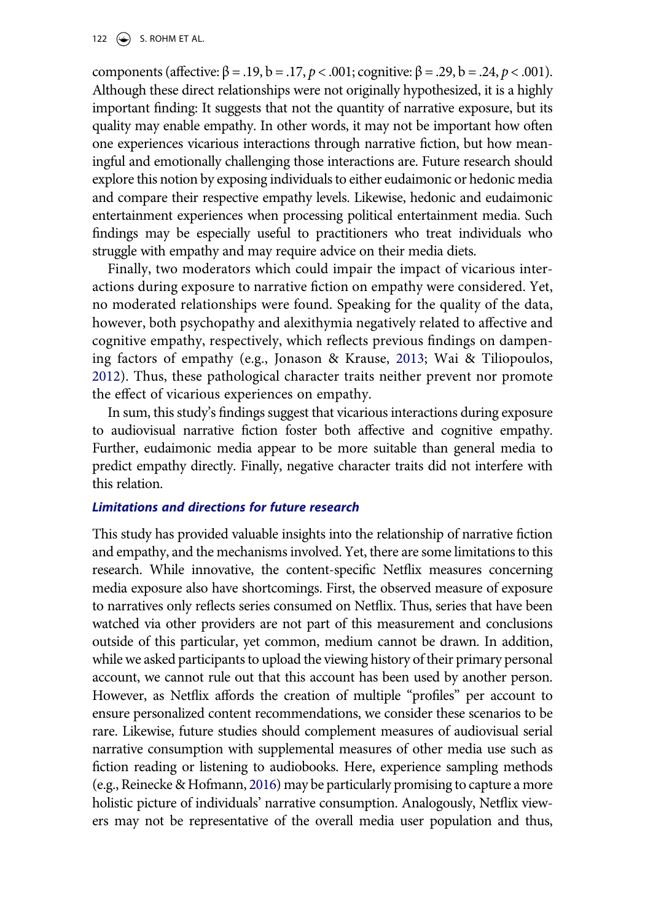components (affective: β = .19, b = .17, p < .001; cognitive: β = .29, b = .24, p < .001). Although these direct relationships were not originally hypothesized, it is a highly important finding: It suggests that not the quantity of narrative exposure, but its quality may enable empathy. In other words, it may not be important how often one experiences vicarious interactions through narrative fiction, but how meaningful and emotionally challenging those interactions are. Future research should explore this notion by exposing individuals to either eudaimonic or hedonic media and compare their respective empathy levels. Likewise, hedonic and eudaimonic entertainment experiences when processing political entertainment media. Such findings may be especially useful to practitioners who treat individuals who struggle with empathy and may require advice on their media diets.

Finally, two moderators which could impair the impact of vicarious interactions during exposure to narrative fiction on empathy were considered. Yet, no moderated relationships were found. Speaking for the quality of the data, however, both psychopathy and alexithymia negatively related to affective and cognitive empathy, respectively, which reflects previous findings on dampening factors of empathy (e.g., Jonason & Krause, [2013](#page-20-15); Wai & Tiliopoulos, [2012](#page-22-9)). Thus, these pathological character traits neither prevent nor promote the effect of vicarious experiences on empathy.

In sum, this study's findings suggest that vicarious interactions during exposure to audiovisual narrative fiction foster both affective and cognitive empathy. Further, eudaimonic media appear to be more suitable than general media to predict empathy directly. Finally, negative character traits did not interfere with this relation.

#### *Limitations and directions for future research*

<span id="page-17-0"></span>This study has provided valuable insights into the relationship of narrative fiction and empathy, and the mechanisms involved. Yet, there are some limitations to this research. While innovative, the content-specific Netflix measures concerning media exposure also have shortcomings. First, the observed measure of exposure to narratives only reflects series consumed on Netflix. Thus, series that have been watched via other providers are not part of this measurement and conclusions outside of this particular, yet common, medium cannot be drawn. In addition, while we asked participants to upload the viewing history of their primary personal account, we cannot rule out that this account has been used by another person. However, as Netflix affords the creation of multiple "profiles" per account to ensure personalized content recommendations, we consider these scenarios to be rare. Likewise, future studies should complement measures of audiovisual serial narrative consumption with supplemental measures of other media use such as fiction reading or listening to audiobooks. Here, experience sampling methods (e.g., Reinecke & Hofmann, [2016\)](#page-21-13) may be particularly promising to capture a more holistic picture of individuals' narrative consumption. Analogously, Netflix viewers may not be representative of the overall media user population and thus,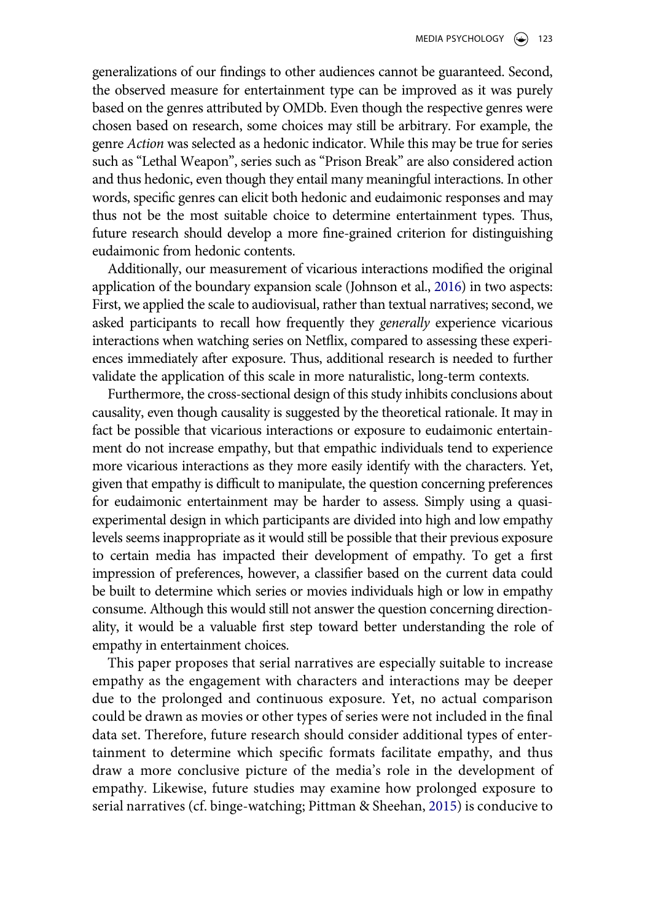generalizations of our findings to other audiences cannot be guaranteed. Second, the observed measure for entertainment type can be improved as it was purely based on the genres attributed by OMDb. Even though the respective genres were chosen based on research, some choices may still be arbitrary. For example, the genre *Action* was selected as a hedonic indicator. While this may be true for series such as "Lethal Weapon", series such as "Prison Break" are also considered action and thus hedonic, even though they entail many meaningful interactions. In other words, specific genres can elicit both hedonic and eudaimonic responses and may thus not be the most suitable choice to determine entertainment types. Thus, future research should develop a more fine-grained criterion for distinguishing eudaimonic from hedonic contents.

Additionally, our measurement of vicarious interactions modified the original application of the boundary expansion scale (Johnson et al., [2016](#page-20-14)) in two aspects: First, we applied the scale to audiovisual, rather than textual narratives; second, we asked participants to recall how frequently they *generally* experience vicarious interactions when watching series on Netflix, compared to assessing these experiences immediately after exposure. Thus, additional research is needed to further validate the application of this scale in more naturalistic, long-term contexts.

Furthermore, the cross-sectional design of this study inhibits conclusions about causality, even though causality is suggested by the theoretical rationale. It may in fact be possible that vicarious interactions or exposure to eudaimonic entertainment do not increase empathy, but that empathic individuals tend to experience more vicarious interactions as they more easily identify with the characters. Yet, given that empathy is difficult to manipulate, the question concerning preferences for eudaimonic entertainment may be harder to assess. Simply using a quasiexperimental design in which participants are divided into high and low empathy levels seems inappropriate as it would still be possible that their previous exposure to certain media has impacted their development of empathy. To get a first impression of preferences, however, a classifier based on the current data could be built to determine which series or movies individuals high or low in empathy consume. Although this would still not answer the question concerning directionality, it would be a valuable first step toward better understanding the role of empathy in entertainment choices.

This paper proposes that serial narratives are especially suitable to increase empathy as the engagement with characters and interactions may be deeper due to the prolonged and continuous exposure. Yet, no actual comparison could be drawn as movies or other types of series were not included in the final data set. Therefore, future research should consider additional types of entertainment to determine which specific formats facilitate empathy, and thus draw a more conclusive picture of the media's role in the development of empathy. Likewise, future studies may examine how prolonged exposure to serial narratives (cf. binge-watching; Pittman & Sheehan, [2015](#page-21-4)) is conducive to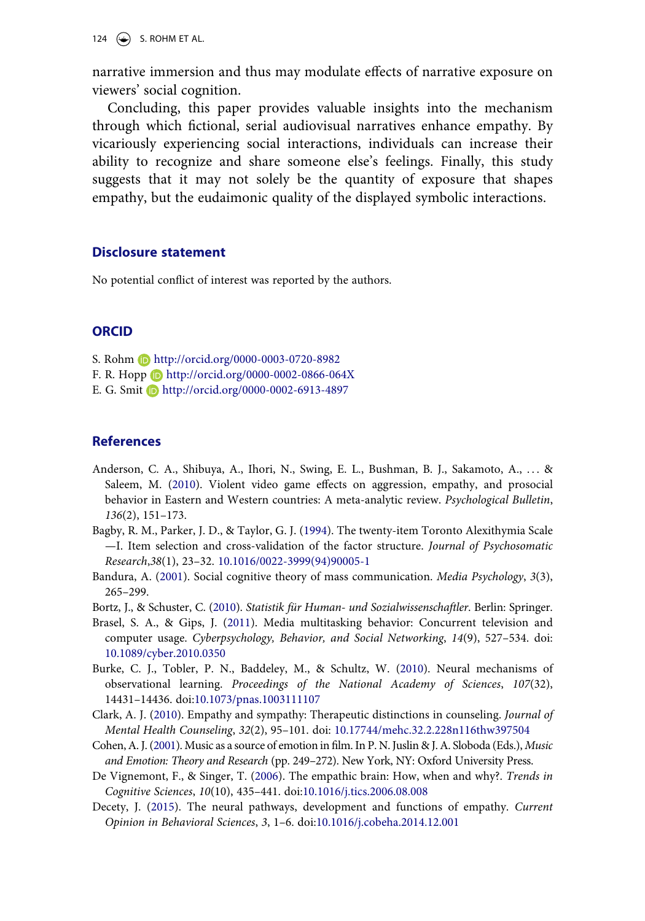124  $\left(\rightarrow\right)$  S. ROHM ET AL.

narrative immersion and thus may modulate effects of narrative exposure on viewers' social cognition.

Concluding, this paper provides valuable insights into the mechanism through which fictional, serial audiovisual narratives enhance empathy. By vicariously experiencing social interactions, individuals can increase their ability to recognize and share someone else's feelings. Finally, this study suggests that it may not solely be the quantity of exposure that shapes empathy, but the eudaimonic quality of the displayed symbolic interactions.

#### **Disclosure statement**

No potential conflict of interest was reported by the authors.

#### **ORCID**

- S. Rohm http://orcid.org/0000-0003-0720-8982
- F. R. Hopp http://orcid.org/0000-0002-0866-064X
- E. G. Smit Dhttp://orcid.org/0000-0002-6913-4897

#### **References**

- <span id="page-19-0"></span>Anderson, C. A., Shibuya, A., Ihori, N., Swing, E. L., Bushman, B. J., Sakamoto, A., . . . & Saleem, M. ([2010\)](#page-1-2). Violent video game effects on aggression, empathy, and prosocial behavior in Eastern and Western countries: A meta-analytic review. *Psychological Bulletin*, *136*(2), 151–173.
- <span id="page-19-8"></span>Bagby, R. M., Parker, J. D., & Taylor, G. J. [\(1994](#page-12-0)). The twenty-item Toronto Alexithymia Scale —I. Item selection and cross-validation of the factor structure. *Journal of Psychosomatic Research*,*38*(1), 23–32. [10.1016/0022-3999\(94\)90005-1](https://doi.org/10.1016/0022-3999(94)90005-1)
- <span id="page-19-1"></span>Bandura, A. ([2001](#page-2-0)). Social cognitive theory of mass communication. *Media Psychology*, *3*(3), 265–299.
- <span id="page-19-9"></span>Bortz, J., & Schuster, C. [\(2010](#page-12-1)). *Statistik für Human- und Sozialwissenschaftler*. Berlin: Springer.
- <span id="page-19-7"></span>Brasel, S. A., & Gips, J. ([2011\)](#page-9-0). Media multitasking behavior: Concurrent television and computer usage. *Cyberpsychology, Behavior, and Social Networking*, *14*(9), 527–534. doi: [10.1089/cyber.2010.0350](https://doi.org/10.1089/cyber.2010.0350)
- <span id="page-19-2"></span>Burke, C. J., Tobler, P. N., Baddeley, M., & Schultz, W. ([2010\)](#page-2-1). Neural mechanisms of observational learning. *Proceedings of the National Academy of Sciences*, *107*(32), 14431–14436. doi:[10.1073/pnas.1003111107](https://doi.org/10.1073/pnas.1003111107)
- <span id="page-19-6"></span>Clark, A. J. [\(2010](#page-5-0)). Empathy and sympathy: Therapeutic distinctions in counseling. *Journal of Mental Health Counseling*, *32*(2), 95–101. doi: [10.17744/mehc.32.2.228n116thw397504](https://doi.org/10.17744/mehc.32.2.228n116thw397504)
- <span id="page-19-5"></span>Cohen, A. J. [\(2001](#page-4-0)). Music as a source of emotion in film. In P. N. Juslin & J. A. Sloboda (Eds.), *Music and Emotion: Theory and Research* (pp. 249–272). New York, NY: Oxford University Press.
- <span id="page-19-4"></span>De Vignemont, F., & Singer, T. [\(2006](#page-3-0)). The empathic brain: How, when and why?. *Trends in Cognitive Sciences*, *10*(10), 435–441. doi:[10.1016/j.tics.2006.08.008](https://doi.org/10.1016/j.tics.2006.08.008)
- <span id="page-19-3"></span>Decety, J. ([2015](#page-3-1)). The neural pathways, development and functions of empathy. *Current Opinion in Behavioral Sciences*, *3*, 1–6. doi:[10.1016/j.cobeha.2014.12.001](https://doi.org/10.1016/j.cobeha.2014.12.001)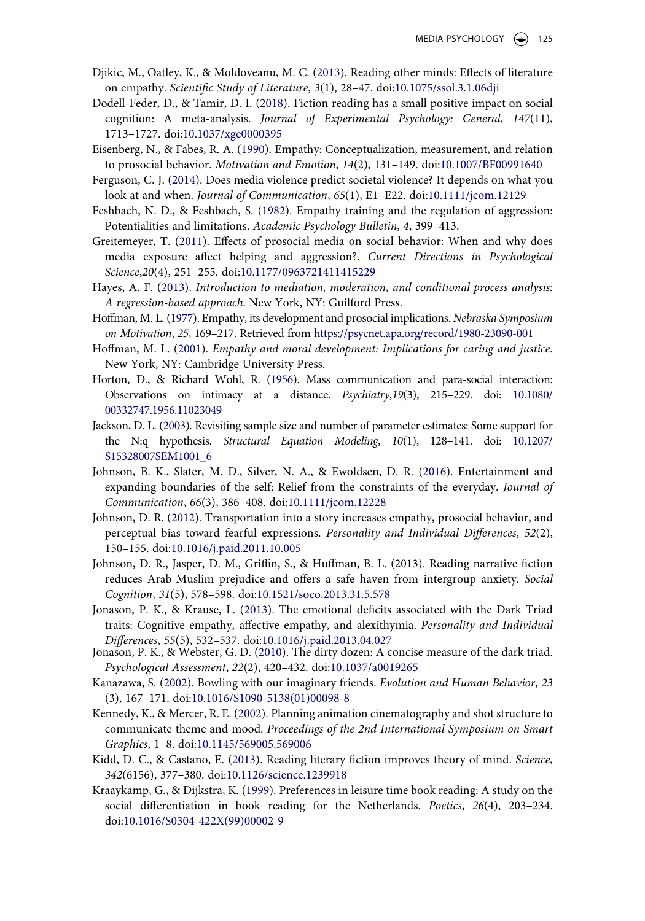- <span id="page-20-2"></span>Djikic, M., Oatley, K., & Moldoveanu, M. C. ([2013\)](#page-2-2). Reading other minds: Effects of literature on empathy. *Scientific Study of Literature*, *3*(1), 28–47. doi:[10.1075/ssol.3.1.06dji](https://doi.org/10.1075/ssol.3.1.06dji)
- <span id="page-20-3"></span>Dodell-Feder, D., & Tamir, D. I. [\(2018](#page-2-3)). Fiction reading has a small positive impact on social cognition: A meta-analysis. *Journal of Experimental Psychology: General*, *147*(11), 1713–1727. doi:[10.1037/xge0000395](https://doi.org/10.1037/xge0000395)
- <span id="page-20-10"></span>Eisenberg, N., & Fabes, R. A. ([1990\)](#page-3-2). Empathy: Conceptualization, measurement, and relation to prosocial behavior. *Motivation and Emotion*, *14*(2), 131–149. doi:[10.1007/BF00991640](https://doi.org/10.1007/BF00991640)
- <span id="page-20-0"></span>Ferguson, C. J. [\(2014\)](#page-1-3). Does media violence predict societal violence? It depends on what you look at and when. *Journal of Communication*, *65*(1), E1–E22. doi:[10.1111/jcom.12129](https://doi.org/10.1111/jcom.12129)
- <span id="page-20-9"></span>Feshbach, N. D., & Feshbach, S. ([1982\)](#page-3-3). Empathy training and the regulation of aggression: Potentialities and limitations. *Academic Psychology Bulletin*, *4*, 399–413.
- <span id="page-20-11"></span>Greitemeyer, T. [\(2011](#page-3-4)). Effects of prosocial media on social behavior: When and why does media exposure affect helping and aggression?. *Current Directions in Psychological Science*,*20*(4), 251–255. doi:[10.1177/0963721411415229](https://doi.org/10.1177/0963721411415229)
- <span id="page-20-18"></span>Hayes, A. F. [\(2013](#page-13-1)). *Introduction to mediation, moderation, and conditional process analysis: A regression-based approach*. New York, NY: Guilford Press.
- <span id="page-20-12"></span>Hoffman, M. L. [\(1977\)](#page-4-1). Empathy, its development and prosocial implications. *Nebraska Symposium on Motivation*, *25*, 169–217. Retrieved from <https://psycnet.apa.org/record/1980-23090-001>
- <span id="page-20-8"></span>Hoffman, M. L. [\(2001](#page-3-5)). *Empathy and moral development: Implications for caring and justice*. New York, NY: Cambridge University Press.
- <span id="page-20-6"></span>Horton, D., & Richard Wohl, R. ([1956\)](#page-2-4). Mass communication and para-social interaction: Observations on intimacy at a distance. *Psychiatry*,*19*(3), 215–229. doi: [10.1080/](https://doi.org/10.1080/00332747.1956.11023049)  [00332747.1956.11023049](https://doi.org/10.1080/00332747.1956.11023049)
- <span id="page-20-17"></span>Jackson, D. L. [\(2003\)](#page-13-2). Revisiting sample size and number of parameter estimates: Some support for the N:q hypothesis. *Structural Equation Modeling*, *10*(1), 128–141. doi: [10.1207/](https://doi.org/10.1207/S15328007SEM1001_6)  [S15328007SEM1001\\_6](https://doi.org/10.1207/S15328007SEM1001_6)
- <span id="page-20-14"></span>Johnson, B. K., Slater, M. D., Silver, N. A., & Ewoldsen, D. R. [\(2016\)](#page-6-0). Entertainment and expanding boundaries of the self: Relief from the constraints of the everyday. *Journal of Communication*, *66*(3), 386–408. doi:[10.1111/jcom.12228](https://doi.org/10.1111/jcom.12228)
- <span id="page-20-4"></span>Johnson, D. R. ([2012](#page-2-3)). Transportation into a story increases empathy, prosocial behavior, and perceptual bias toward fearful expressions. *Personality and Individual Differences*, *52*(2), 150–155. doi:[10.1016/j.paid.2011.10.005](https://doi.org/10.1016/j.paid.2011.10.005)
- Johnson, D. R., Jasper, D. M., Griffin, S., & Huffman, B. L. (2013). Reading narrative fiction reduces Arab-Muslim prejudice and offers a safe haven from intergroup anxiety. *Social Cognition*, *31*(5), 578–598. doi:[10.1521/soco.2013.31.5.578](https://doi.org/10.1521/soco.2013.31.5.578)
- <span id="page-20-15"></span>Jonason, P. K., & Krause, L. ([2013](#page-7-0)). The emotional deficits associated with the Dark Triad traits: Cognitive empathy, affective empathy, and alexithymia. *Personality and Individual Differences*, *55*(5), 532–537. doi:[10.1016/j.paid.2013.04.027](https://doi.org/10.1016/j.paid.2013.04.027)
- <span id="page-20-16"></span>Jonason, P. K., & Webster, G. D. [\(2010](#page-12-2)). The dirty dozen: A concise measure of the dark triad. *Psychological Assessment*, *22*(2), 420–432. doi:[10.1037/a0019265](https://doi.org/10.1037/a0019265)
- <span id="page-20-1"></span>Kanazawa, S. [\(2002](#page-2-5)). Bowling with our imaginary friends. *Evolution and Human Behavior*, *23*  (3), 167–171. doi:[10.1016/S1090-5138\(01\)00098-8](https://doi.org/10.1016/S1090-5138(01)00098-8)
- <span id="page-20-13"></span>Kennedy, K., & Mercer, R. E. [\(2002](#page-4-2)). Planning animation cinematography and shot structure to communicate theme and mood. *Proceedings of the 2nd International Symposium on Smart Graphics*, 1–8. doi:[10.1145/569005.569006](https://doi.org/10.1145/569005.569006)
- <span id="page-20-5"></span>Kidd, D. C., & Castano, E. ([2013\)](#page-2-6). Reading literary fiction improves theory of mind. *Science*, *342*(6156), 377–380. doi:[10.1126/science.1239918](https://doi.org/10.1126/science.1239918)
- <span id="page-20-7"></span>Kraaykamp, G., & Dijkstra, K. [\(1999](#page-3-6)). Preferences in leisure time book reading: A study on the social differentiation in book reading for the Netherlands. *Poetics*, *26*(4), 203–234. doi:[10.1016/S0304-422X\(99\)00002-9](https://doi.org/10.1016/S0304-422X(99)00002-9)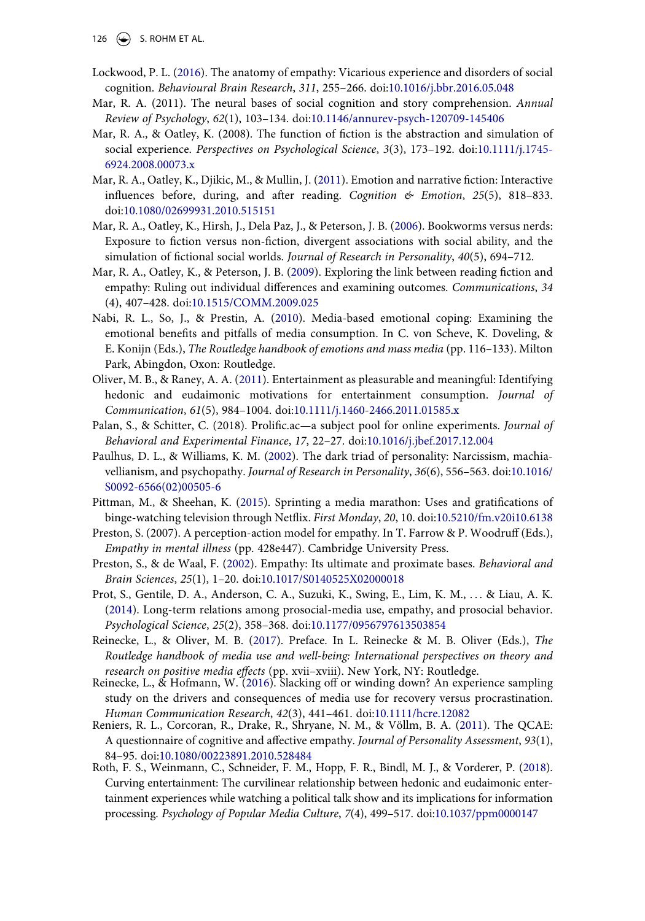126  $\bigodot$  S. ROHM ET AL.

- <span id="page-21-5"></span>Lockwood, P. L. ([2016\)](#page-3-7). The anatomy of empathy: Vicarious experience and disorders of social cognition. *Behavioural Brain Research*, *311*, 255–266. doi:[10.1016/j.bbr.2016.05.048](https://doi.org/10.1016/j.bbr.2016.05.048)
- Mar, R. A. (2011). The neural bases of social cognition and story comprehension. *Annual Review of Psychology*, *62*(1), 103–134. doi:[10.1146/annurev-psych-120709-145406](https://doi.org/10.1146/annurev-psych-120709-145406)
- Mar, R. A., & Oatley, K. (2008). The function of fiction is the abstraction and simulation of social experience. *Perspectives on Psychological Science*, *3*(3), 173–192. doi:[10.1111/j.1745-](https://doi.org/10.1111/j.1745-6924.2008.00073.x)  [6924.2008.00073.x](https://doi.org/10.1111/j.1745-6924.2008.00073.x)
- <span id="page-21-1"></span>Mar, R. A., Oatley, K., Djikic, M., & Mullin, J. [\(2011\)](#page-2-7). Emotion and narrative fiction: Interactive influences before, during, and after reading. *Cognition & Emotion*, *25*(5), 818–833. doi:[10.1080/02699931.2010.515151](https://doi.org/10.1080/02699931.2010.515151)
- <span id="page-21-12"></span>Mar, R. A., Oatley, K., Hirsh, J., Dela Paz, J., & Peterson, J. B. [\(2006\)](#page-16-0). Bookworms versus nerds: Exposure to fiction versus non-fiction, divergent associations with social ability, and the simulation of fictional social worlds. *Journal of Research in Personality*, *40*(5), 694–712.
- <span id="page-21-2"></span>Mar, R. A., Oatley, K., & Peterson, J. B. [\(2009\)](#page-2-6). Exploring the link between reading fiction and empathy: Ruling out individual differences and examining outcomes. *Communications*, *34*  (4), 407–428. doi:[10.1515/COMM.2009.025](https://doi.org/10.1515/COMM.2009.025)
- <span id="page-21-7"></span>Nabi, R. L., So, J., & Prestin, A. ([2010](#page-5-1)). Media-based emotional coping: Examining the emotional benefits and pitfalls of media consumption. In C. von Scheve, K. Doveling, & E. Konijn (Eds.), *The Routledge handbook of emotions and mass media* (pp. 116–133). Milton Park, Abingdon, Oxon: Routledge.
- <span id="page-21-9"></span>Oliver, M. B., & Raney, A. A. ([2011\)](#page-6-1). Entertainment as pleasurable and meaningful: Identifying hedonic and eudaimonic motivations for entertainment consumption. *Journal of Communication*, *61*(5), 984–1004. doi:[10.1111/j.1460-2466.2011.01585.x](https://doi.org/10.1111/j.1460-2466.2011.01585.x)
- Palan, S., & Schitter, C. (2018). Prolific.ac—a subject pool for online experiments. *Journal of Behavioral and Experimental Finance*, *17*, 22–27. doi:[10.1016/j.jbef.2017.12.004](https://doi.org/10.1016/j.jbef.2017.12.004)
- <span id="page-21-11"></span>Paulhus, D. L., & Williams, K. M. ([2002\)](#page-7-1). The dark triad of personality: Narcissism, machiavellianism, and psychopathy. *Journal of Research in Personality*, *36*(6), 556–563. doi:[10.1016/](https://doi.org/10.1016/S0092-6566(02)00505-6) [S0092-6566\(02\)00505-6](https://doi.org/10.1016/S0092-6566(02)00505-6)
- <span id="page-21-4"></span>Pittman, M., & Sheehan, K. ([2015\)](#page-2-8). Sprinting a media marathon: Uses and gratifications of binge-watching television through Netflix. *First Monday*, *20*, 10. doi:[10.5210/fm.v20i10.6138](https://doi.org/10.5210/fm.v20i10.6138)
- Preston, S. (2007). A perception-action model for empathy. In T. Farrow & P. Woodruff (Eds.), *Empathy in mental illness* (pp. 428e447). Cambridge University Press.
- <span id="page-21-3"></span>Preston, S., & de Waal, F. [\(2002](#page-2-9)). Empathy: Its ultimate and proximate bases. *Behavioral and Brain Sciences*, *25*(1), 1–20. doi:[10.1017/S0140525X02000018](https://doi.org/10.1017/S0140525X02000018)
- <span id="page-21-0"></span>Prot, S., Gentile, D. A., Anderson, C. A., Suzuki, K., Swing, E., Lim, K. M., . . . & Liau, A. K. [\(2014\)](#page-1-4). Long-term relations among prosocial-media use, empathy, and prosocial behavior. *Psychological Science*, *25*(2), 358–368. doi:[10.1177/0956797613503854](https://doi.org/10.1177/0956797613503854)
- <span id="page-21-6"></span>Reinecke, L., & Oliver, M. B. ([2017](#page-3-8)). Preface. In L. Reinecke & M. B. Oliver (Eds.), *The Routledge handbook of media use and well-being: International perspectives on theory and research on positive media effects* (pp. xvii–xviii). New York, NY: Routledge. Reinecke, L., & Hofmann, W. [\(2016\)](#page-17-0). Slacking off or winding down? An experience sampling
- <span id="page-21-13"></span>study on the drivers and consequences of media use for recovery versus procrastination. *Human Communication Research*, *42*(3), 441–461. doi:[10.1111/hcre.12082](https://doi.org/10.1111/hcre.12082)
- <span id="page-21-8"></span>Reniers, R. L., Corcoran, R., Drake, R., Shryane, N. M., & Völlm, B. A. [\(2011](#page-5-2)). The QCAE: A questionnaire of cognitive and affective empathy. *Journal of Personality Assessment*, *93*(1), 84–95. doi:[10.1080/00223891.2010.528484](https://doi.org/10.1080/00223891.2010.528484)
- <span id="page-21-10"></span>Roth, F. S., Weinmann, C., Schneider, F. M., Hopp, F. R., Bindl, M. J., & Vorderer, P. ([2018\)](#page-6-2). Curving entertainment: The curvilinear relationship between hedonic and eudaimonic entertainment experiences while watching a political talk show and its implications for information processing. *Psychology of Popular Media Culture*, *7*(4), 499–517. doi:[10.1037/ppm0000147](https://doi.org/10.1037/ppm0000147)